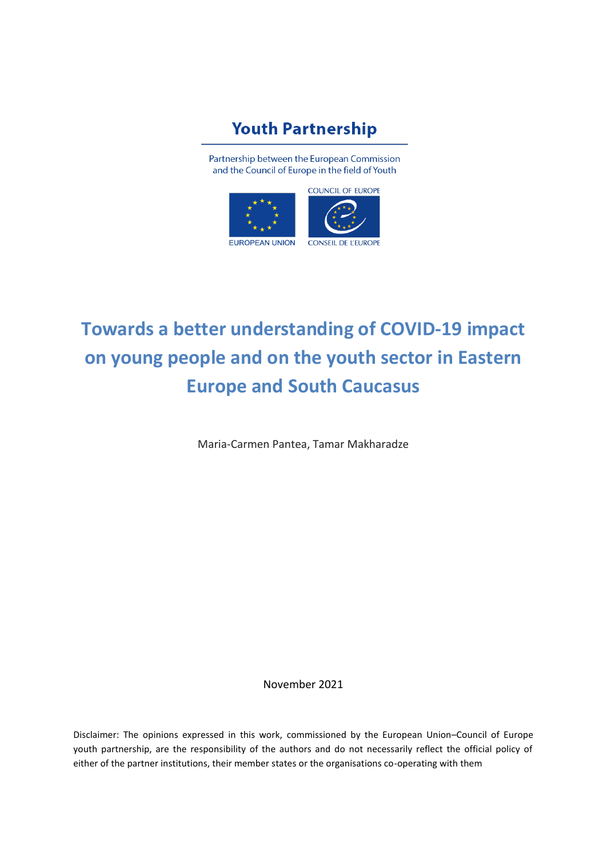## **Youth Partnership**

Partnership between the European Commission and the Council of Europe in the field of Youth



# **Towards a better understanding of COVID-19 impact on young people and on the youth sector in Eastern Europe and South Caucasus**

Maria-Carmen Pantea, Tamar Makharadze

November 2021

Disclaimer: The opinions expressed in this work, commissioned by the European Union–Council of Europe youth partnership, are the responsibility of the authors and do not necessarily reflect the official policy of either of the partner institutions, their member states or the organisations co-operating with them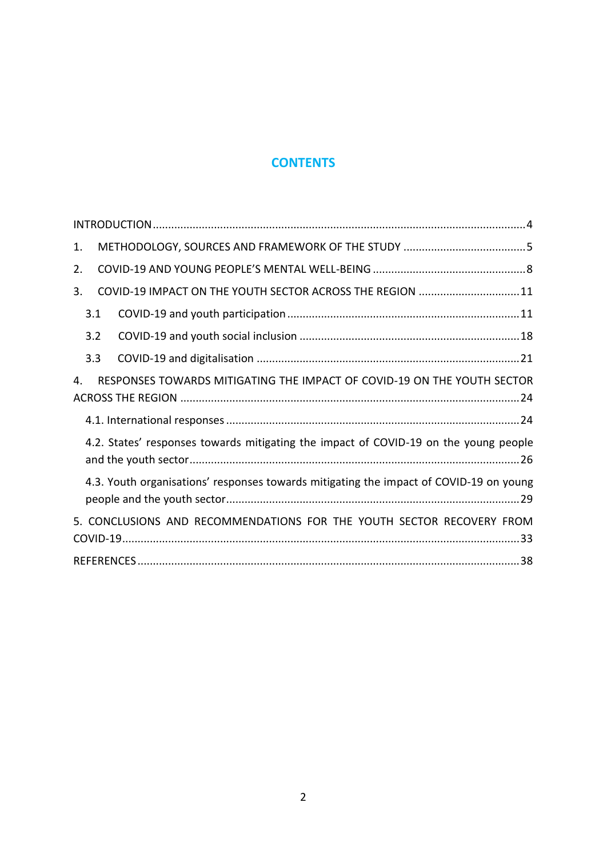### **CONTENTS**

| 1.                                                                                     |
|----------------------------------------------------------------------------------------|
| 2.                                                                                     |
| COVID-19 IMPACT ON THE YOUTH SECTOR ACROSS THE REGION  11<br>3.                        |
| 3.1                                                                                    |
| 3.2                                                                                    |
| 3.3                                                                                    |
| RESPONSES TOWARDS MITIGATING THE IMPACT OF COVID-19 ON THE YOUTH SECTOR<br>4.          |
|                                                                                        |
|                                                                                        |
| 4.2. States' responses towards mitigating the impact of COVID-19 on the young people   |
| 4.3. Youth organisations' responses towards mitigating the impact of COVID-19 on young |
| 5. CONCLUSIONS AND RECOMMENDATIONS FOR THE YOUTH SECTOR RECOVERY FROM                  |
|                                                                                        |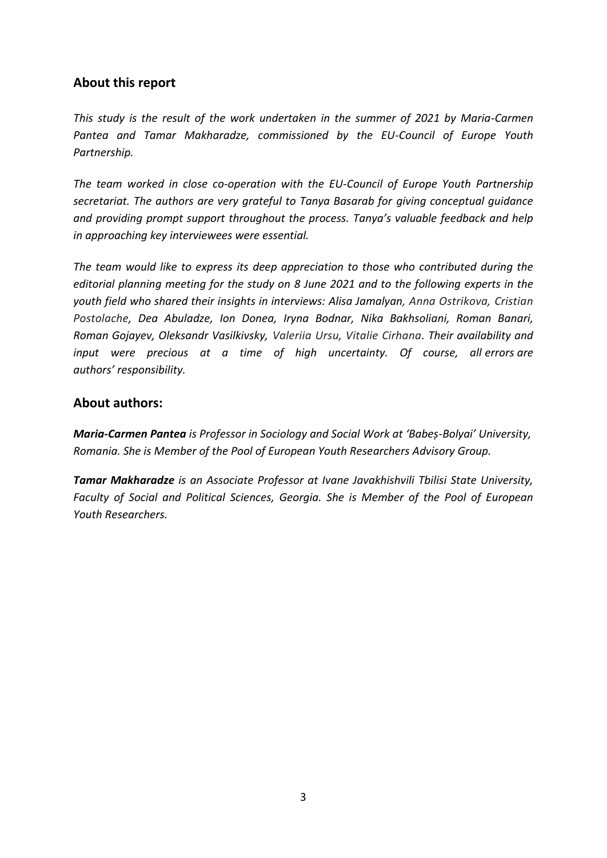### **About this report**

*This study is the result of the work undertaken in the summer of 2021 by Maria-Carmen Pantea and Tamar Makharadze, commissioned by the EU-Council of Europe Youth Partnership.*

*The team worked in close co-operation with the EU-Council of Europe Youth Partnership secretariat. The authors are very grateful to Tanya Basarab for giving conceptual guidance and providing prompt support throughout the process. Tanya's valuable feedback and help in approaching key interviewees were essential.*

*The team would like to express its deep appreciation to those who contributed during the editorial planning meeting for the study on 8 June 2021 and to the following experts in the youth field who shared their insights in interviews: Alisa Jamalyan, Anna Ostrikova, Cristian Postolache, Dea Abuladze, Ion Donea, Iryna Bodnar, Nika Bakhsoliani, Roman Banari, Roman Gojayev, Oleksandr Vasilkivsky, Valeriia Ursu, Vitalie Cirhana. Their availability and input were precious at a time of high uncertainty. Of course, all errors are authors' responsibility.*

### **About authors:**

*Maria-Carmen Pantea is Professor in Sociology and Social Work at 'Babeș-Bolyai' University, Romania. She is Member of the Pool of European Youth Researchers Advisory Group.*

*Tamar Makharadze is an Associate Professor at Ivane Javakhishvili Tbilisi State University, Faculty of Social and Political Sciences, Georgia. She is Member of the Pool of European Youth Researchers.*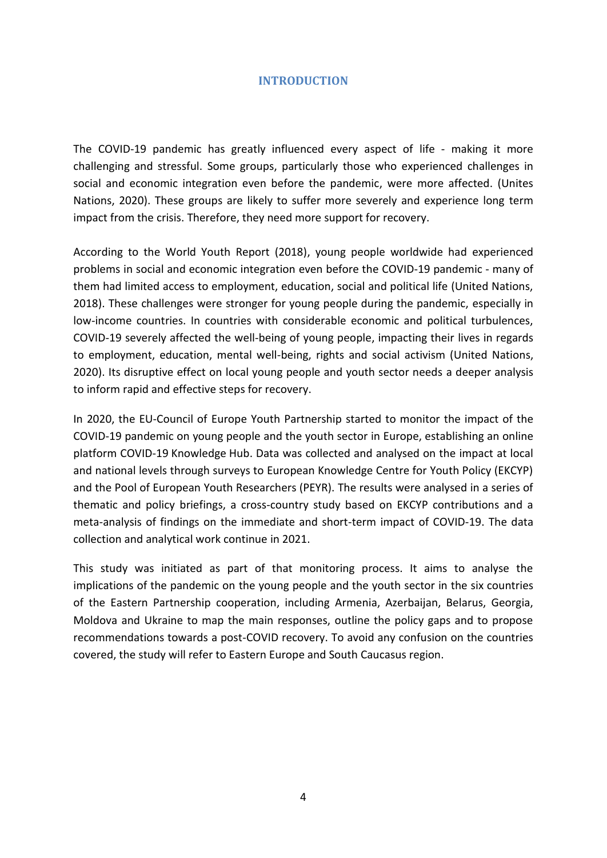#### **INTRODUCTION**

<span id="page-3-0"></span>The COVID-19 pandemic has greatly influenced every aspect of life - making it more challenging and stressful. Some groups, particularly those who experienced challenges in social and economic integration even before the pandemic, were more affected. (Unites Nations, 2020). These groups are likely to suffer more severely and experience long term impact from the crisis. Therefore, they need more support for recovery.

According to the World Youth Report (2018), young people worldwide had experienced problems in social and economic integration even before the COVID-19 pandemic - many of them had limited access to employment, education, social and political life (United Nations, 2018). These challenges were stronger for young people during the pandemic, especially in low-income countries. In countries with considerable economic and political turbulences, COVID-19 severely affected the well-being of young people, impacting their lives in regards to employment, education, mental well-being, rights and social activism (United Nations, 2020). Its disruptive effect on local young people and youth sector needs a deeper analysis to inform rapid and effective steps for recovery.

In 2020, the EU-Council of Europe Youth Partnership started to monitor the impact of the COVID-19 pandemic on young people and the youth sector in Europe, establishing an online platform COVID-19 Knowledge Hub. Data was collected and analysed on the impact at local and national levels through surveys to European Knowledge Centre for Youth Policy (EKCYP) and the Pool of European Youth Researchers (PEYR). The results were analysed in a series of thematic and policy briefings, a cross-country study based on EKCYP contributions and a meta-analysis of findings on the immediate and short-term impact of COVID-19. The data collection and analytical work continue in 2021.

This study was initiated as part of that monitoring process. It aims to analyse the implications of the pandemic on the young people and the youth sector in the six countries of the Eastern Partnership cooperation, including Armenia, Azerbaijan, Belarus, Georgia, Moldova and Ukraine to map the main responses, outline the policy gaps and to propose recommendations towards a post-COVID recovery. To avoid any confusion on the countries covered, the study will refer to Eastern Europe and South Caucasus region.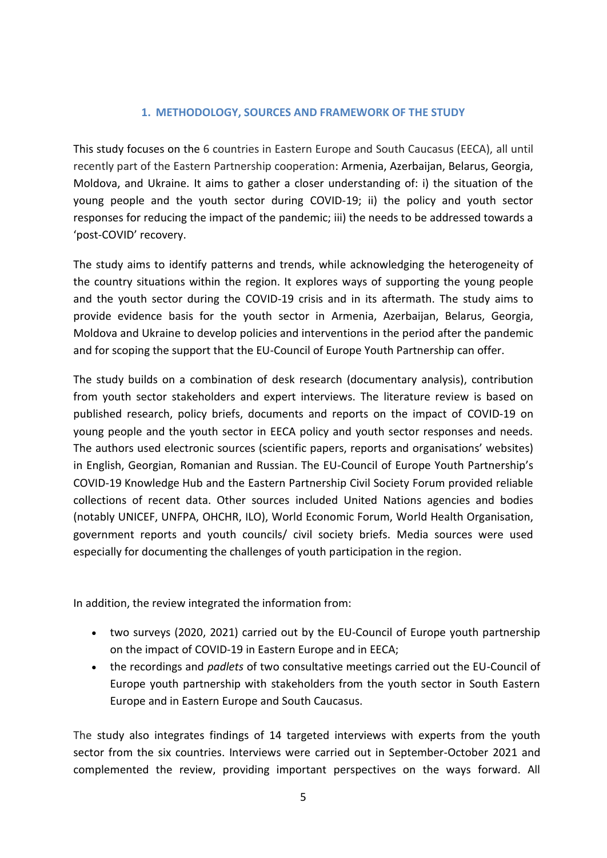#### **1. METHODOLOGY, SOURCES AND FRAMEWORK OF THE STUDY**

<span id="page-4-0"></span>This study focuses on the 6 countries in Eastern Europe and South Caucasus (EECA), all until recently part of the Eastern Partnership cooperation: Armenia, Azerbaijan, Belarus, Georgia, Moldova, and Ukraine. It aims to gather a closer understanding of: i) the situation of the young people and the youth sector during COVID-19; ii) the policy and youth sector responses for reducing the impact of the pandemic; iii) the needs to be addressed towards a 'post-COVID' recovery.

The study aims to identify patterns and trends, while acknowledging the heterogeneity of the country situations within the region. It explores ways of supporting the young people and the youth sector during the COVID-19 crisis and in its aftermath. The study aims to provide evidence basis for the youth sector in Armenia, Azerbaijan, Belarus, Georgia, Moldova and Ukraine to develop policies and interventions in the period after the pandemic and for scoping the support that the EU-Council of Europe Youth Partnership can offer.

The study builds on a combination of desk research (documentary analysis), contribution from youth sector stakeholders and expert interviews. The literature review is based on published research, policy briefs, documents and reports on the impact of COVID-19 on young people and the youth sector in EECA policy and youth sector responses and needs. The authors used electronic sources (scientific papers, reports and organisations' websites) in English, Georgian, Romanian and Russian. The EU-Council of Europe Youth Partnership's COVID-19 Knowledge Hub and the Eastern Partnership Civil Society Forum provided reliable collections of recent data. Other sources included United Nations agencies and bodies (notably UNICEF, UNFPA, OHCHR, ILO), World Economic Forum, World Health Organisation, government reports and youth councils/ civil society briefs. Media sources were used especially for documenting the challenges of youth participation in the region.

In addition, the review integrated the information from:

- two surveys (2020, 2021) carried out by the EU-Council of Europe youth partnership on the impact of COVID-19 in Eastern Europe and in EECA;
- the recordings and *padlets* of two consultative meetings carried out the EU-Council of Europe youth partnership with stakeholders from the youth sector in South Eastern Europe and in Eastern Europe and South Caucasus.

The study also integrates findings of 14 targeted interviews with experts from the youth sector from the six countries. Interviews were carried out in September-October 2021 and complemented the review, providing important perspectives on the ways forward. All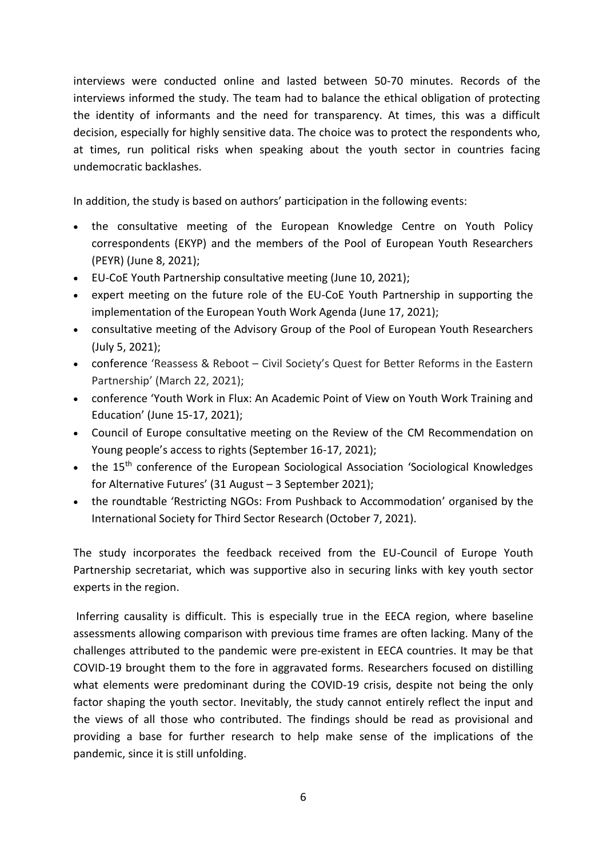interviews were conducted online and lasted between 50-70 minutes. Records of the interviews informed the study. The team had to balance the ethical obligation of protecting the identity of informants and the need for transparency. At times, this was a difficult decision, especially for highly sensitive data. The choice was to protect the respondents who, at times, run political risks when speaking about the youth sector in countries facing undemocratic backlashes.

In addition, the study is based on authors' participation in the following events:

- the consultative meeting of the European Knowledge Centre on Youth Policy correspondents (EKYP) and the members of the Pool of European Youth Researchers (PEYR) (June 8, 2021);
- EU-CoE Youth Partnership consultative meeting (June 10, 2021);
- expert meeting on the future role of the EU-CoE Youth Partnership in supporting the implementation of the European Youth Work Agenda (June 17, 2021);
- consultative meeting of the Advisory Group of the Pool of European Youth Researchers (July 5, 2021);
- conference 'Reassess & Reboot Civil Society's Quest for Better Reforms in the Eastern Partnership' (March 22, 2021);
- conference 'Youth Work in Flux: An Academic Point of View on Youth Work Training and Education' (June 15-17, 2021);
- Council of Europe consultative meeting on the Review of the CM Recommendation on Young people's access to rights (September 16-17, 2021);
- the 15<sup>th</sup> conference of the European Sociological Association 'Sociological Knowledges for Alternative Futures' (31 August – 3 September 2021);
- the roundtable 'Restricting NGOs: From Pushback to Accommodation' organised by the International Society for Third Sector Research (October 7, 2021).

The study incorporates the feedback received from the EU-Council of Europe Youth Partnership secretariat, which was supportive also in securing links with key youth sector experts in the region.

Inferring causality is difficult. This is especially true in the EECA region, where baseline assessments allowing comparison with previous time frames are often lacking. Many of the challenges attributed to the pandemic were pre-existent in EECA countries. It may be that COVID-19 brought them to the fore in aggravated forms. Researchers focused on distilling what elements were predominant during the COVID-19 crisis, despite not being the only factor shaping the youth sector. Inevitably, the study cannot entirely reflect the input and the views of all those who contributed. The findings should be read as provisional and providing a base for further research to help make sense of the implications of the pandemic, since it is still unfolding.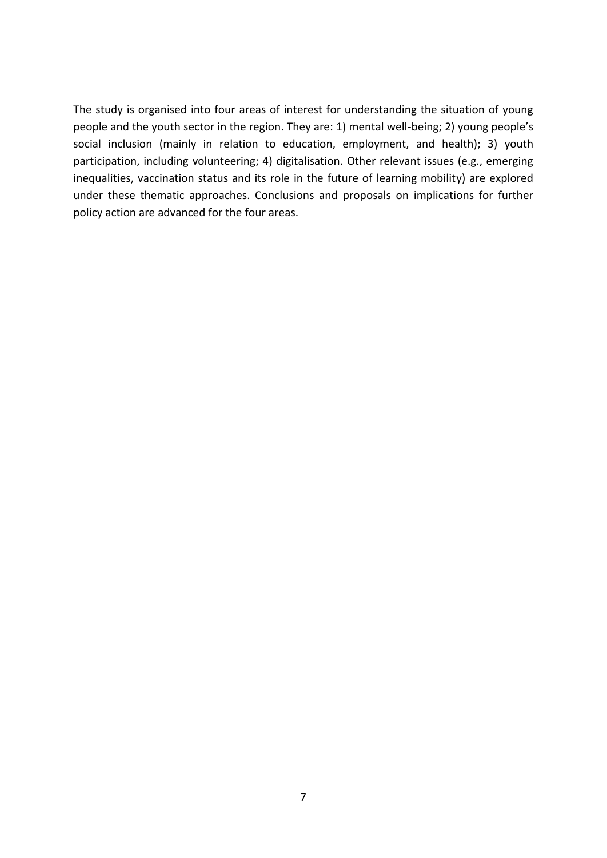The study is organised into four areas of interest for understanding the situation of young people and the youth sector in the region. They are: 1) mental well-being; 2) young people's social inclusion (mainly in relation to education, employment, and health); 3) youth participation, including volunteering; 4) digitalisation. Other relevant issues (e.g., emerging inequalities, vaccination status and its role in the future of learning mobility) are explored under these thematic approaches. Conclusions and proposals on implications for further policy action are advanced for the four areas.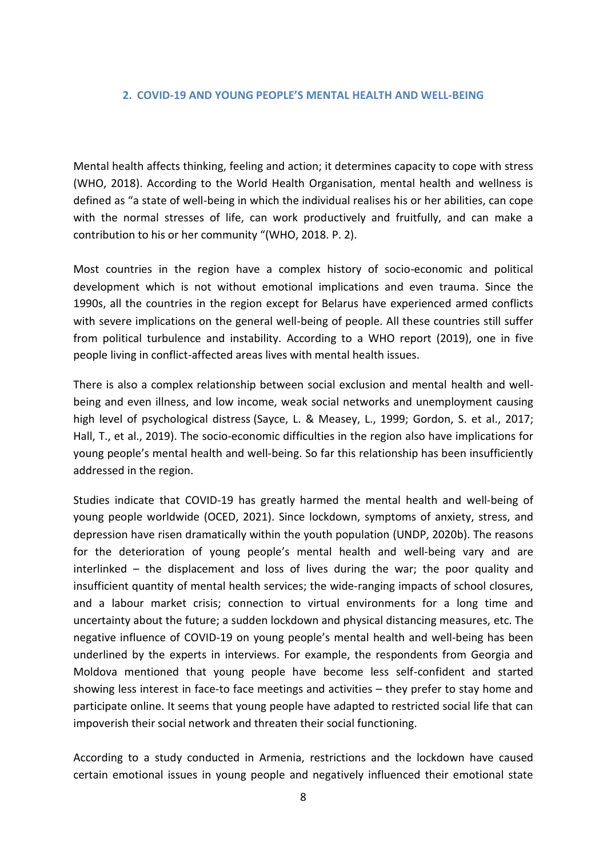#### <span id="page-7-0"></span>**2. COVID-19 AND YOUNG PEOPLE'S MENTAL HEALTH AND WELL-BEING**

Mental health affects thinking, feeling and action; it determines capacity to cope with stress (WHO, 2018). According to the World Health Organisation, mental health and wellness is defined as "a state of well-being in which the individual realises his or her abilities, can cope with the normal stresses of life, can work productively and fruitfully, and can make a contribution to his or her community "(WHO, 2018. P. 2).

Most countries in the region have a complex history of socio-economic and political development which is not without emotional implications and even trauma. Since the 1990s, all the countries in the region except for Belarus have experienced armed conflicts with severe implications on the general well-being of people. All these countries still suffer from political turbulence and instability. According to a WHO report (2019), one in five people living in conflict-affected areas lives with mental health issues.

There is also a complex relationship between social exclusion and mental health and wellbeing and even illness, and low income, weak social networks and unemployment causing high level of psychological distress (Sayce, L. & Measey, L., 1999; Gordon, S. et al., 2017; Hall, T., et al., 2019). The socio-economic difficulties in the region also have implications for young people's mental health and well-being. So far this relationship has been insufficiently addressed in the region.

Studies indicate that COVID-19 has greatly harmed the mental health and well-being of young people worldwide (OCED, 2021). Since lockdown, symptoms of anxiety, stress, and depression have risen dramatically within the youth population (UNDP, 2020b). The reasons for the deterioration of young people's mental health and well-being vary and are interlinked – the displacement and loss of lives during the war; the poor quality and insufficient quantity of mental health services; the wide-ranging impacts of school closures, and a labour market crisis; connection to virtual environments for a long time and uncertainty about the future; a sudden lockdown and physical distancing measures, etc. The negative influence of COVID-19 on young people's mental health and well-being has been underlined by the experts in interviews. For example, the respondents from Georgia and Moldova mentioned that young people have become less self-confident and started showing less interest in face-to face meetings and activities – they prefer to stay home and participate online. It seems that young people have adapted to restricted social life that can impoverish their social network and threaten their social functioning.

According to a study conducted in Armenia, restrictions and the lockdown have caused certain emotional issues in young people and negatively influenced their emotional state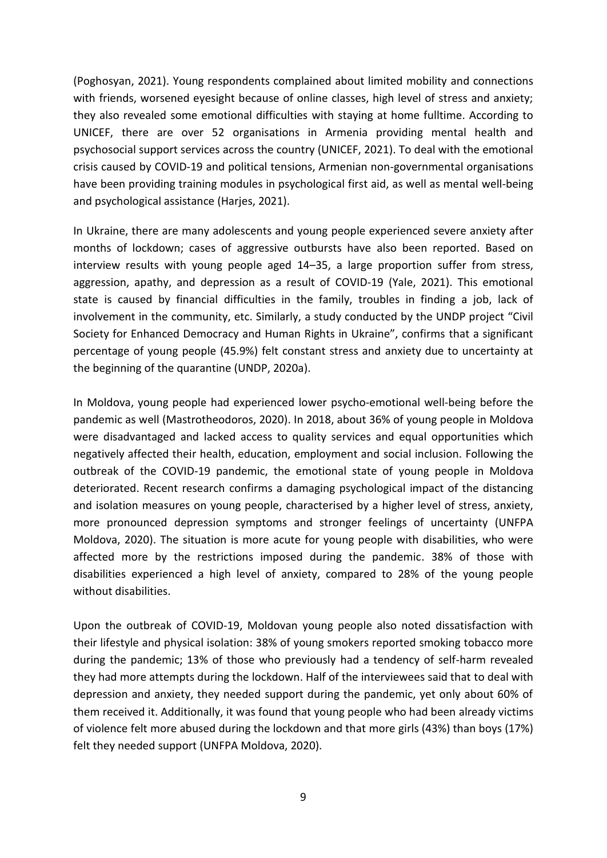(Poghosyan, 2021). Young respondents complained about limited mobility and connections with friends, worsened eyesight because of online classes, high level of stress and anxiety; they also revealed some emotional difficulties with staying at home fulltime. According to UNICEF, there are over 52 organisations in Armenia providing mental health and psychosocial support services across the country (UNICEF, 2021). To deal with the emotional crisis caused by COVID-19 and political tensions, Armenian non-governmental organisations have been providing training modules in psychological first aid, as well as mental well-being and psychological assistance (Harjes, 2021).

In Ukraine, there are many adolescents and young people experienced severe anxiety after months of lockdown; cases of aggressive outbursts have also been reported. Based on interview results with young people aged 14–35, a large proportion suffer from stress, aggression, apathy, and depression as a result of COVID-19 (Yale, 2021). This emotional state is caused by financial difficulties in the family, troubles in finding a job, lack of involvement in the community, etc. Similarly, a study conducted by the UNDP project "Civil Society for Enhanced Democracy and Human Rights in Ukraine", confirms that a significant percentage of young people (45.9%) felt constant stress and anxiety due to uncertainty at the beginning of the quarantine (UNDP, 2020a).

In Moldova, young people had experienced lower psycho-emotional well-being before the pandemic as well (Mastrotheodoros, 2020). In 2018, about 36% of young people in Moldova were disadvantaged and lacked access to quality services and equal opportunities which negatively affected their health, education, employment and social inclusion. Following the outbreak of the COVID-19 pandemic, the emotional state of young people in Moldova deteriorated. Recent research confirms a damaging psychological impact of the distancing and isolation measures on young people, characterised by a higher level of stress, anxiety, more pronounced depression symptoms and stronger feelings of uncertainty (UNFPA Moldova, 2020). The situation is more acute for young people with disabilities, who were affected more by the restrictions imposed during the pandemic. 38% of those with disabilities experienced a high level of anxiety, compared to 28% of the young people without disabilities.

Upon the outbreak of COVID-19, Moldovan young people also noted dissatisfaction with their lifestyle and physical isolation: 38% of young smokers reported smoking tobacco more during the pandemic; 13% of those who previously had a tendency of self-harm revealed they had more attempts during the lockdown. Half of the interviewees said that to deal with depression and anxiety, they needed support during the pandemic, yet only about 60% of them received it. Additionally, it was found that young people who had been already victims of violence felt more abused during the lockdown and that more girls (43%) than boys (17%) felt they needed support (UNFPA Moldova, 2020).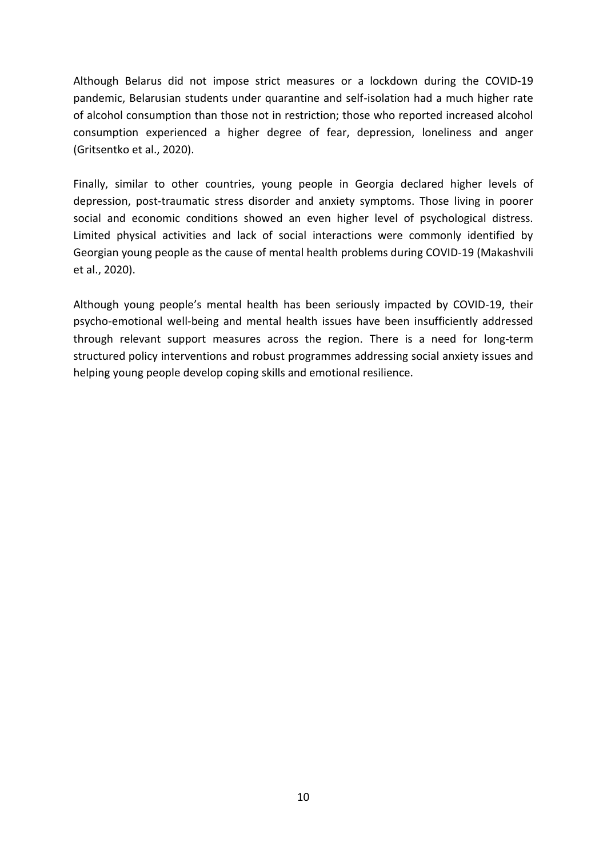Although Belarus did not impose strict measures or a lockdown during the COVID-19 pandemic, Belarusian students under quarantine and self-isolation had a much higher rate of alcohol consumption than those not in restriction; those who reported increased alcohol consumption experienced a higher degree of fear, depression, loneliness and anger (Gritsentko et al., 2020).

Finally, similar to other countries, young people in Georgia declared higher levels of depression, post-traumatic stress disorder and anxiety symptoms. Those living in poorer social and economic conditions showed an even higher level of psychological distress. Limited physical activities and lack of social interactions were commonly identified by Georgian young people as the cause of mental health problems during COVID-19 (Makashvili et al., 2020).

Although young people's mental health has been seriously impacted by COVID-19, their psycho-emotional well-being and mental health issues have been insufficiently addressed through relevant support measures across the region. There is a need for long-term structured policy interventions and robust programmes addressing social anxiety issues and helping young people develop coping skills and emotional resilience.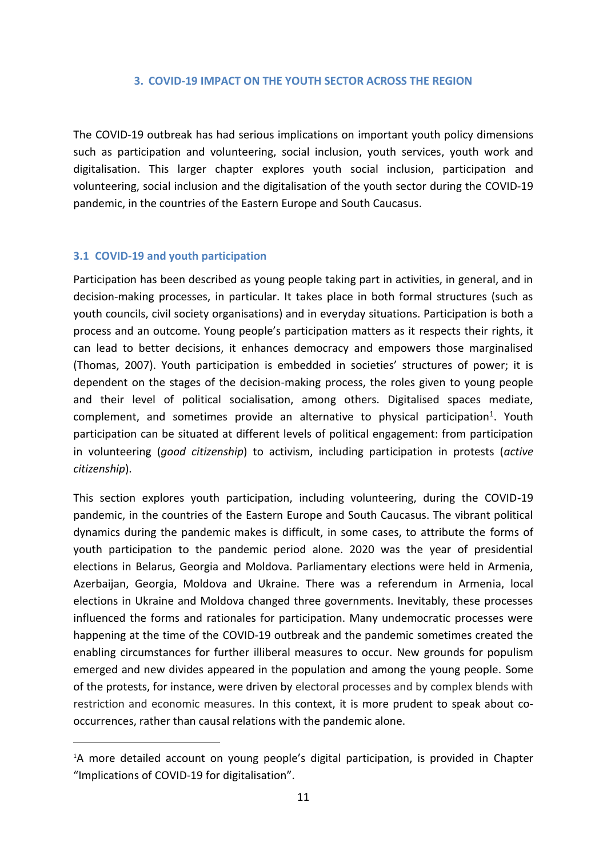#### **3. COVID-19 IMPACT ON THE YOUTH SECTOR ACROSS THE REGION**

<span id="page-10-0"></span>The COVID-19 outbreak has had serious implications on important youth policy dimensions such as participation and volunteering, social inclusion, youth services, youth work and digitalisation. This larger chapter explores youth social inclusion, participation and volunteering, social inclusion and the digitalisation of the youth sector during the COVID-19 pandemic, in the countries of the Eastern Europe and South Caucasus.

#### <span id="page-10-1"></span>**3.1 COVID-19 and youth participation**

Participation has been described as young people taking part in activities, in general, and in decision-making processes, in particular. It takes place in both formal structures (such as youth councils, civil society organisations) and in everyday situations. Participation is both a process and an outcome. Young people's participation matters as it respects their rights, it can lead to better decisions, it enhances democracy and empowers those marginalised (Thomas, 2007). Youth participation is embedded in societies' structures of power; it is dependent on the stages of the decision-making process, the roles given to young people and their level of political socialisation, among others. Digitalised spaces mediate,  $complement$ , and sometimes provide an alternative to physical participation<sup>1</sup>. Youth participation can be situated at different levels of political engagement: from participation in volunteering (*good citizenship*) to activism, including participation in protests (*active citizenship*).

This section explores youth participation, including volunteering, during the COVID-19 pandemic, in the countries of the Eastern Europe and South Caucasus. The vibrant political dynamics during the pandemic makes is difficult, in some cases, to attribute the forms of youth participation to the pandemic period alone. 2020 was the year of presidential elections in Belarus, Georgia and Moldova. Parliamentary elections were held in Armenia, Azerbaijan, Georgia, Moldova and Ukraine. There was a referendum in Armenia, local elections in Ukraine and Moldova changed three governments. Inevitably, these processes influenced the forms and rationales for participation. Many undemocratic processes were happening at the time of the COVID-19 outbreak and the pandemic sometimes created the enabling circumstances for further illiberal measures to occur. New grounds for populism emerged and new divides appeared in the population and among the young people. Some of the protests, for instance, were driven by electoral processes and by complex blends with restriction and economic measures. In this context, it is more prudent to speak about cooccurrences, rather than causal relations with the pandemic alone.

<sup>&</sup>lt;sup>1</sup>A more detailed account on young people's digital participation, is provided in Chapter "Implications of COVID-19 for digitalisation".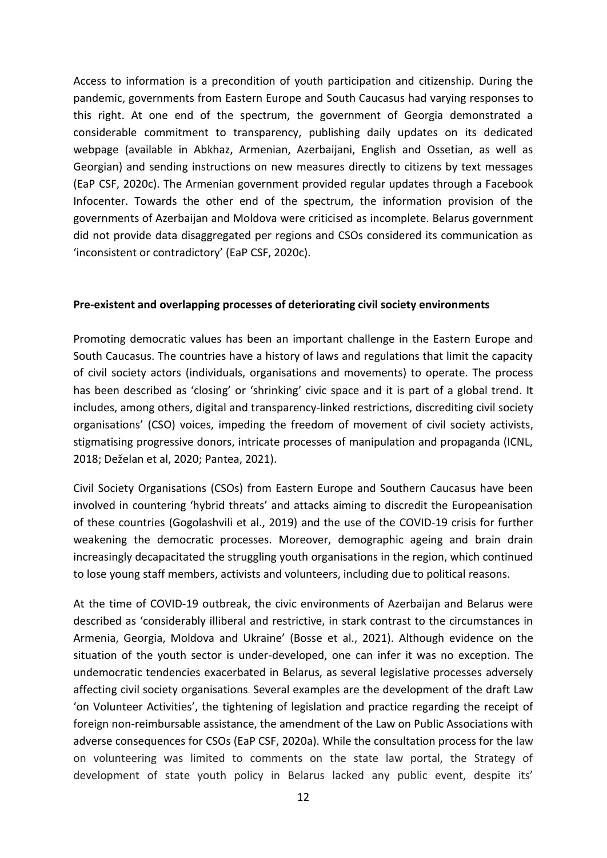Access to information is a precondition of youth participation and citizenship. During the pandemic, governments from Eastern Europe and South Caucasus had varying responses to this right. At one end of the spectrum, the government of Georgia demonstrated a considerable commitment to transparency, publishing daily updates on its dedicated webpage (available in Abkhaz, Armenian, Azerbaijani, English and Ossetian, as well as Georgian) and sending instructions on new measures directly to citizens by text messages (EaP CSF, 2020c). The Armenian government provided regular updates through a Facebook Infocenter. Towards the other end of the spectrum, the information provision of the governments of Azerbaijan and Moldova were criticised as incomplete. Belarus government did not provide data disaggregated per regions and CSOs considered its communication as 'inconsistent or contradictory' (EaP CSF, 2020c).

#### **Pre-existent and overlapping processes of deteriorating civil society environments**

Promoting democratic values has been an important challenge in the Eastern Europe and South Caucasus. The countries have a history of laws and regulations that limit the capacity of civil society actors (individuals, organisations and movements) to operate. The process has been described as 'closing' or 'shrinking' civic space and it is part of a global trend. It includes, among others, digital and transparency-linked restrictions, discrediting civil society organisations' (CSO) voices, impeding the freedom of movement of civil society activists, stigmatising progressive donors, intricate processes of manipulation and propaganda (ICNL, 2018; Deželan et al, 2020; Pantea, 2021).

Civil Society Organisations (CSOs) from Eastern Europe and Southern Caucasus have been involved in countering 'hybrid threats' and attacks aiming to discredit the Europeanisation of these countries (Gogolashvili et al., 2019) and the use of the COVID-19 crisis for further weakening the democratic processes. Moreover, demographic ageing and brain drain increasingly decapacitated the struggling youth organisations in the region, which continued to lose young staff members, activists and volunteers, including due to political reasons.

At the time of COVID-19 outbreak, the civic environments of Azerbaijan and Belarus were described as 'considerably illiberal and restrictive, in stark contrast to the circumstances in Armenia, Georgia, Moldova and Ukraine' (Bosse et al., 2021). Although evidence on the situation of the youth sector is under-developed, one can infer it was no exception. The undemocratic tendencies exacerbated in Belarus, as several legislative processes adversely affecting civil society organisations. Several examples are the development of the draft Law 'on Volunteer Activities', the tightening of legislation and practice regarding the receipt of foreign non-reimbursable assistance, the amendment of the Law on Public Associations with adverse consequences for CSOs (EaP CSF, 2020a). While the consultation process for the law on volunteering was limited to comments on the state law portal, the Strategy of development of state youth policy in Belarus lacked any public event, despite its'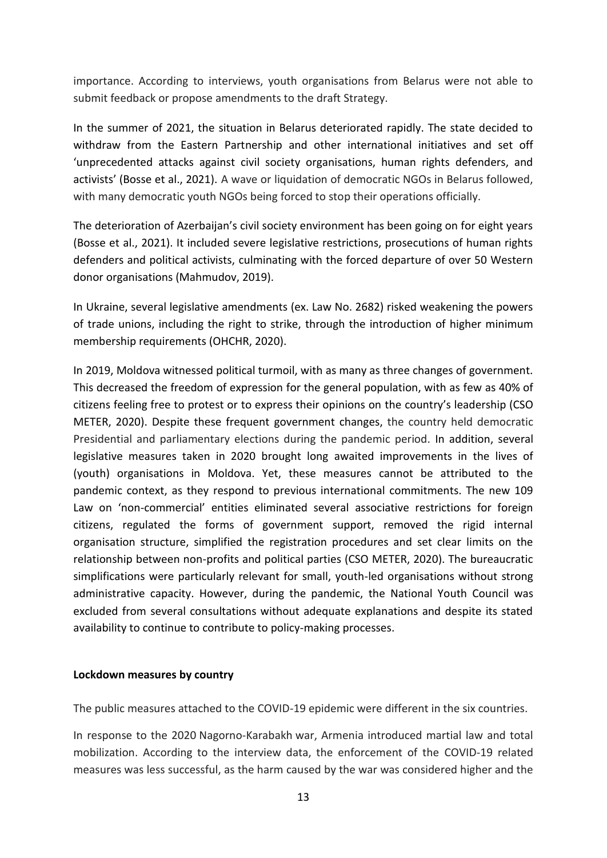importance. According to interviews, youth organisations from Belarus were not able to submit feedback or propose amendments to the draft Strategy.

In the summer of 2021, the situation in Belarus deteriorated rapidly. The state decided to withdraw from the Eastern Partnership and other international initiatives and set off 'unprecedented attacks against civil society organisations, human rights defenders, and activists' (Bosse et al., 2021). A wave or liquidation of democratic NGOs in Belarus followed, with many democratic youth NGOs being forced to stop their operations officially.

The deterioration of Azerbaijan's civil society environment has been going on for eight years (Bosse et al., 2021). It included severe legislative restrictions, prosecutions of human rights defenders and political activists, culminating with the forced departure of over 50 Western donor organisations (Mahmudov, 2019).

In Ukraine, several legislative amendments (ex. Law No. 2682) risked weakening the powers of trade unions, including the right to strike, through the introduction of higher minimum membership requirements (OHCHR, 2020).

In 2019, Moldova witnessed political turmoil, with as many as three changes of government. This decreased the freedom of expression for the general population, with as few as 40% of citizens feeling free to protest or to express their opinions on the country's leadership (CSO METER, 2020). Despite these frequent government changes, the country held democratic Presidential and parliamentary elections during the pandemic period. In addition, several legislative measures taken in 2020 brought long awaited improvements in the lives of (youth) organisations in Moldova. Yet, these measures cannot be attributed to the pandemic context, as they respond to previous international commitments. The new 109 Law on 'non-commercial' entities eliminated several associative restrictions for foreign citizens, regulated the forms of government support, removed the rigid internal organisation structure, simplified the registration procedures and set clear limits on the relationship between non-profits and political parties (CSO METER, 2020). The bureaucratic simplifications were particularly relevant for small, youth-led organisations without strong administrative capacity. However, during the pandemic, the National Youth Council was excluded from several consultations without adequate explanations and despite its stated availability to continue to contribute to policy-making processes.

#### **Lockdown measures by country**

The public measures attached to the COVID-19 epidemic were different in the six countries.

In response to the 2020 Nagorno-Karabakh war, Armenia introduced martial law and total mobilization. According to the interview data, the enforcement of the COVID-19 related measures was less successful, as the harm caused by the war was considered higher and the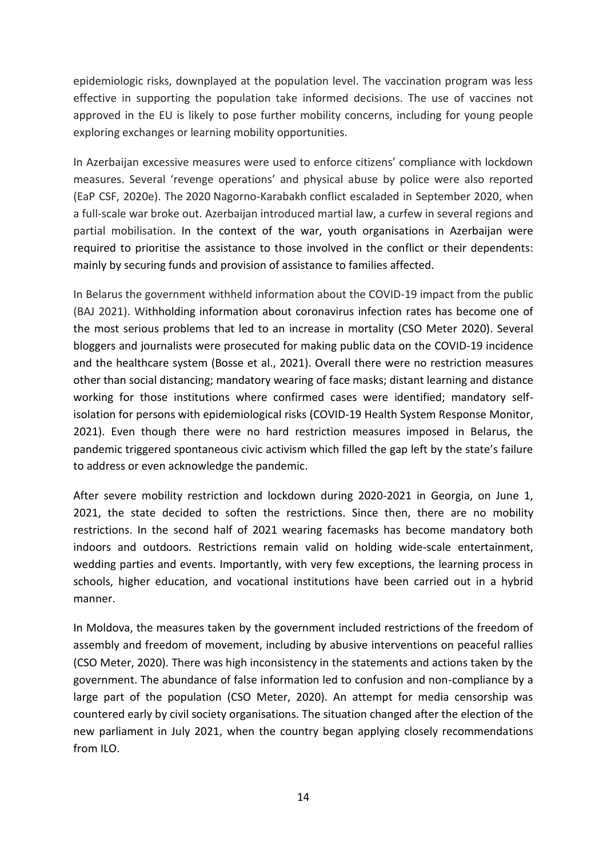epidemiologic risks, downplayed at the population level. The vaccination program was less effective in supporting the population take informed decisions. The use of vaccines not approved in the EU is likely to pose further mobility concerns, including for young people exploring exchanges or learning mobility opportunities.

In Azerbaijan excessive measures were used to enforce citizens' compliance with lockdown measures. Several 'revenge operations' and physical abuse by police were also reported (EaP CSF, 2020e). The 2020 Nagorno-Karabakh conflict escaladed in September 2020, when a full-scale war broke out. Azerbaijan introduced martial law, a curfew in several regions and partial mobilisation. In the context of the war, youth organisations in Azerbaijan were required to prioritise the assistance to those involved in the conflict or their dependents: mainly by securing funds and provision of assistance to families affected.

In Belarus the government withheld information about the COVID-19 impact from the public (BAJ 2021). Withholding information about coronavirus infection rates has become one of the most serious problems that led to an increase in mortality (CSO Meter 2020). Several bloggers and journalists were prosecuted for making public data on the COVID-19 incidence and the healthcare system (Bosse et al., 2021). Overall there were no restriction measures other than social distancing; mandatory wearing of face masks; distant learning and distance working for those institutions where confirmed cases were identified; mandatory selfisolation for persons with epidemiological risks (COVID-19 Health System Response Monitor, 2021). Even though there were no hard restriction measures imposed in Belarus, the pandemic triggered spontaneous civic activism which filled the gap left by the state's failure to address or even acknowledge the pandemic.

After severe mobility restriction and lockdown during 2020-2021 in Georgia, on June 1, 2021, the state decided to soften the restrictions. Since then, there are no mobility restrictions. In the second half of 2021 wearing facemasks has become mandatory both indoors and outdoors. Restrictions remain valid on holding wide-scale entertainment, wedding parties and events. Importantly, with very few exceptions, the learning process in schools, higher education, and vocational institutions have been carried out in a hybrid manner.

In Moldova, the measures taken by the government included restrictions of the freedom of assembly and freedom of movement, including by abusive interventions on peaceful rallies (CSO Meter, 2020). There was high inconsistency in the statements and actions taken by the government. The abundance of false information led to confusion and non-compliance by a large part of the population (CSO Meter, 2020). An attempt for media censorship was countered early by civil society organisations. The situation changed after the election of the new parliament in July 2021, when the country began applying closely recommendations from ILO.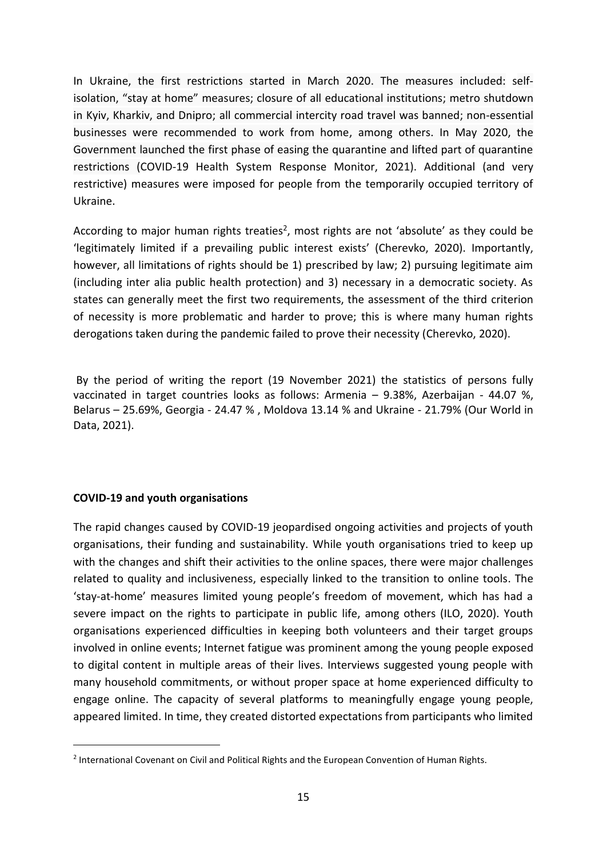In Ukraine, the first restrictions started in March 2020. The measures included: selfisolation, "stay at home" measures; closure of all educational institutions; metro shutdown in Kyiv, Kharkiv, and Dnipro; all commercial intercity road travel was banned; non-essential businesses were recommended to work from home, among others. In May 2020, the Government launched the first phase of easing the quarantine and lifted part of quarantine restrictions (COVID-19 Health System Response Monitor, 2021). Additional (and very restrictive) measures were imposed for people from the temporarily occupied territory of Ukraine.

According to major human rights treaties<sup>2</sup>, most rights are not 'absolute' as they could be 'legitimately limited if a prevailing public interest exists' (Cherevko, 2020). Importantly, however, all limitations of rights should be 1) prescribed by law; 2) pursuing legitimate aim (including inter alia public health protection) and 3) necessary in a democratic society. As states can generally meet the first two requirements, the assessment of the third criterion of necessity is more problematic and harder to prove; this is where many human rights derogations taken during the pandemic failed to prove their necessity (Cherevko, 2020).

By the period of writing the report (19 November 2021) the statistics of persons fully vaccinated in target countries looks as follows: Armenia – 9.38%, Azerbaijan - 44.07 %, Belarus – 25.69%, Georgia - 24.47 % , Moldova 13.14 % and Ukraine - 21.79% (Our World in Data, 2021).

#### **COVID-19 and youth organisations**

The rapid changes caused by COVID-19 jeopardised ongoing activities and projects of youth organisations, their funding and sustainability. While youth organisations tried to keep up with the changes and shift their activities to the online spaces, there were major challenges related to quality and inclusiveness, especially linked to the transition to online tools. The 'stay-at-home' measures limited young people's freedom of movement, which has had a severe impact on the rights to participate in public life, among others (ILO, 2020). Youth organisations experienced difficulties in keeping both volunteers and their target groups involved in online events; Internet fatigue was prominent among the young people exposed to digital content in multiple areas of their lives. Interviews suggested young people with many household commitments, or without proper space at home experienced difficulty to engage online. The capacity of several platforms to meaningfully engage young people, appeared limited. In time, they created distorted expectations from participants who limited

<sup>&</sup>lt;sup>2</sup> International Covenant on Civil and Political Rights and the European Convention of Human Rights.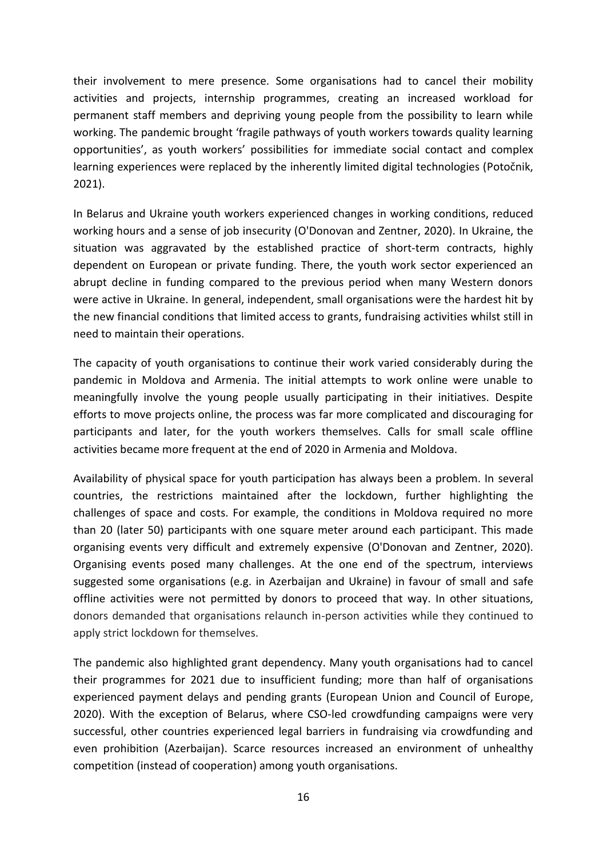their involvement to mere presence. Some organisations had to cancel their mobility activities and projects, internship programmes, creating an increased workload for permanent staff members and depriving young people from the possibility to learn while working. The pandemic brought 'fragile pathways of youth workers towards quality learning opportunities', as youth workers' possibilities for immediate social contact and complex learning experiences were replaced by the inherently limited digital technologies (Potočnik, 2021).

In Belarus and Ukraine youth workers experienced changes in working conditions, reduced working hours and a sense of job insecurity (O'Donovan and Zentner, 2020). In Ukraine, the situation was aggravated by the established practice of short-term contracts, highly dependent on European or private funding. There, the youth work sector experienced an abrupt decline in funding compared to the previous period when many Western donors were active in Ukraine. In general, independent, small organisations were the hardest hit by the new financial conditions that limited access to grants, fundraising activities whilst still in need to maintain their operations.

The capacity of youth organisations to continue their work varied considerably during the pandemic in Moldova and Armenia. The initial attempts to work online were unable to meaningfully involve the young people usually participating in their initiatives. Despite efforts to move projects online, the process was far more complicated and discouraging for participants and later, for the youth workers themselves. Calls for small scale offline activities became more frequent at the end of 2020 in Armenia and Moldova.

Availability of physical space for youth participation has always been a problem. In several countries, the restrictions maintained after the lockdown, further highlighting the challenges of space and costs. For example, the conditions in Moldova required no more than 20 (later 50) participants with one square meter around each participant. This made organising events very difficult and extremely expensive (O'Donovan and Zentner, 2020). Organising events posed many challenges. At the one end of the spectrum, interviews suggested some organisations (e.g. in Azerbaijan and Ukraine) in favour of small and safe offline activities were not permitted by donors to proceed that way. In other situations, donors demanded that organisations relaunch in-person activities while they continued to apply strict lockdown for themselves.

The pandemic also highlighted grant dependency. Many youth organisations had to cancel their programmes for 2021 due to insufficient funding; more than half of organisations experienced payment delays and pending grants (European Union and Council of Europe, 2020). With the exception of Belarus, where CSO-led crowdfunding campaigns were very successful, other countries experienced legal barriers in fundraising via crowdfunding and even prohibition (Azerbaijan). Scarce resources increased an environment of unhealthy competition (instead of cooperation) among youth organisations.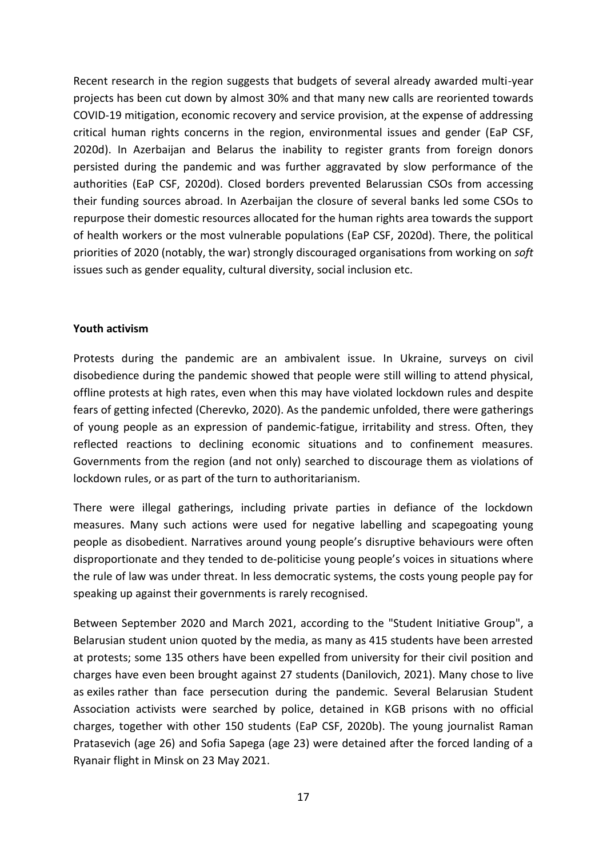Recent research in the region suggests that budgets of several already awarded multi-year projects has been cut down by almost 30% and that many new calls are reoriented towards COVID-19 mitigation, economic recovery and service provision, at the expense of addressing critical human rights concerns in the region, environmental issues and gender (EaP CSF, 2020d). In Azerbaijan and Belarus the inability to register grants from foreign donors persisted during the pandemic and was further aggravated by slow performance of the authorities (EaP CSF, 2020d). Closed borders prevented Belarussian CSOs from accessing their funding sources abroad. In Azerbaijan the closure of several banks led some CSOs to repurpose their domestic resources allocated for the human rights area towards the support of health workers or the most vulnerable populations (EaP CSF, 2020d). There, the political priorities of 2020 (notably, the war) strongly discouraged organisations from working on *soft*  issues such as gender equality, cultural diversity, social inclusion etc.

#### **Youth activism**

Protests during the pandemic are an ambivalent issue. In Ukraine, surveys on civil disobedience during the pandemic showed that people were still willing to attend physical, offline protests at high rates, even when this may have violated lockdown rules and despite fears of getting infected (Cherevko, 2020). As the pandemic unfolded, there were gatherings of young people as an expression of pandemic-fatigue, irritability and stress. Often, they reflected reactions to declining economic situations and to confinement measures. Governments from the region (and not only) searched to discourage them as violations of lockdown rules, or as part of the turn to authoritarianism.

There were illegal gatherings, including private parties in defiance of the lockdown measures. Many such actions were used for negative labelling and scapegoating young people as disobedient. Narratives around young people's disruptive behaviours were often disproportionate and they tended to de-politicise young people's voices in situations where the rule of law was under threat. In less democratic systems, the costs young people pay for speaking up against their governments is rarely recognised.

Between September 2020 and March 2021, according to the "Student Initiative Group", a Belarusian student union quoted by the media, as many as 415 students have been arrested at protests; some 135 others have been expelled from university for their civil position and charges have even been brought against 27 students (Danilovich, 2021). Many chose to live as exiles rather than face persecution during the pandemic. Several Belarusian Student Association activists were searched by police, detained in KGB prisons with no official charges, together with other 150 students (EaP CSF, 2020b). The young journalist Raman Pratasevich (age 26) and Sofia Sapega (age 23) were detained after the forced landing of a Ryanair flight in Minsk on 23 May 2021.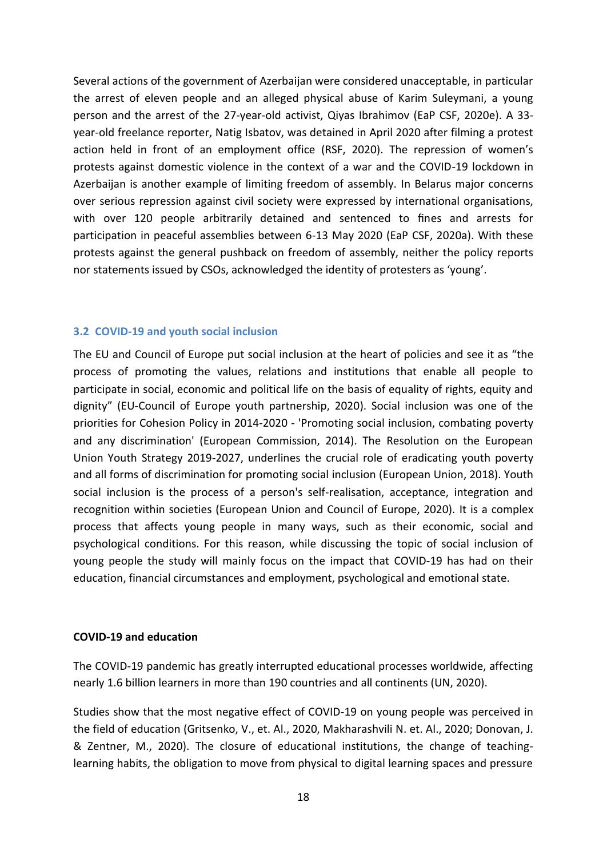Several actions of the government of Azerbaijan were considered unacceptable, in particular the arrest of eleven people and an alleged physical abuse of Karim Suleymani, a young person and the arrest of the 27-year-old activist, Qiyas Ibrahimov (EaP CSF, 2020e). A 33 year-old freelance reporter, Natig Isbatov, was detained in April 2020 after filming a protest action held in front of an employment office (RSF, 2020). The repression of women's protests against domestic violence in the context of a war and the COVID-19 lockdown in Azerbaijan is another example of limiting freedom of assembly. In Belarus major concerns over serious repression against civil society were expressed by international organisations, with over 120 people arbitrarily detained and sentenced to fines and arrests for participation in peaceful assemblies between 6-13 May 2020 (EaP CSF, 2020a). With these protests against the general pushback on freedom of assembly, neither the policy reports nor statements issued by CSOs, acknowledged the identity of protesters as 'young'.

#### <span id="page-17-0"></span>**3.2 COVID-19 and youth social inclusion**

The EU and Council of Europe put social inclusion at the heart of policies and see it as "the process of promoting the values, relations and institutions that enable all people to participate in social, economic and political life on the basis of equality of rights, equity and dignity" (EU-Council of Europe youth partnership, 2020). Social inclusion was one of the priorities for Cohesion Policy in 2014-2020 - 'Promoting social inclusion, combating poverty and any discrimination' (European Commission, 2014). The Resolution on the European Union Youth Strategy 2019-2027, underlines the crucial role of eradicating youth poverty and all forms of discrimination for promoting social inclusion (European Union, 2018). Youth social inclusion is the process of a person's self-realisation, acceptance, integration and recognition within societies (European Union and Council of Europe, 2020). It is a complex process that affects young people in many ways, such as their economic, social and psychological conditions. For this reason, while discussing the topic of social inclusion of young people the study will mainly focus on the impact that COVID-19 has had on their education, financial circumstances and employment, psychological and emotional state.

#### **COVID-19 and education**

The COVID-19 pandemic has greatly interrupted educational processes worldwide, affecting nearly 1.6 billion learners in more than 190 countries and all continents (UN, 2020).

Studies show that the most negative effect of COVID-19 on young people was perceived in the field of education (Gritsenko, V., et. Al., 2020, Makharashvili N. et. Al., 2020; Donovan, J. & Zentner, M., 2020). The closure of educational institutions, the change of teachinglearning habits, the obligation to move from physical to digital learning spaces and pressure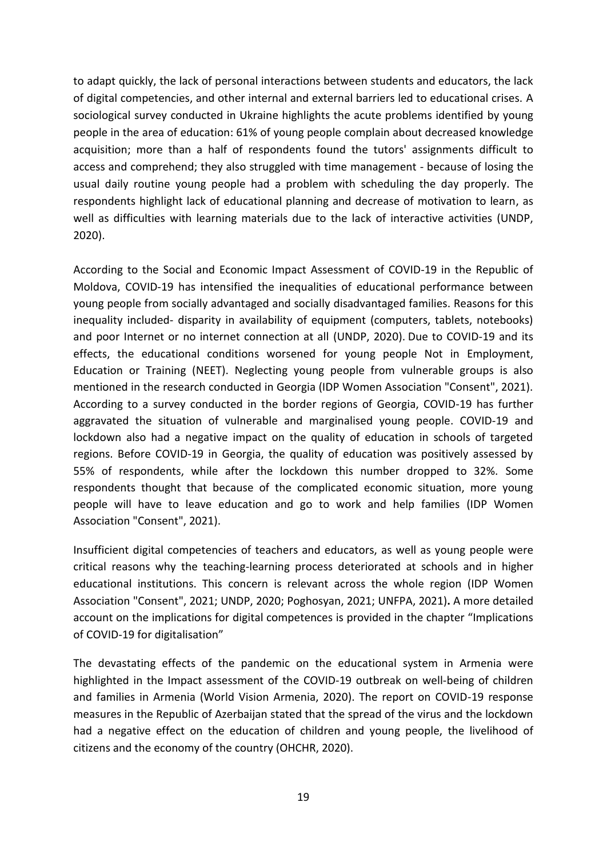to adapt quickly, the lack of personal interactions between students and educators, the lack of digital competencies, and other internal and external barriers led to educational crises. A sociological survey conducted in Ukraine highlights the acute problems identified by young people in the area of education: 61% of young people complain about decreased knowledge acquisition; more than a half of respondents found the tutors' assignments difficult to access and comprehend; they also struggled with time management - because of losing the usual daily routine young people had a problem with scheduling the day properly. The respondents highlight lack of educational planning and decrease of motivation to learn, as well as difficulties with learning materials due to the lack of interactive activities (UNDP, 2020).

According to the Social and Economic Impact Assessment of COVID-19 in the Republic of Moldova, COVID-19 has intensified the inequalities of educational performance between young people from socially advantaged and socially disadvantaged families. Reasons for this inequality included- disparity in availability of equipment (computers, tablets, notebooks) and poor Internet or no internet connection at all (UNDP, 2020). Due to COVID-19 and its effects, the educational conditions worsened for young people Not in Employment, Education or Training (NEET). Neglecting young people from vulnerable groups is also mentioned in the research conducted in Georgia (IDP Women Association "Consent", 2021). According to a survey conducted in the border regions of Georgia, COVID-19 has further aggravated the situation of vulnerable and marginalised young people. COVID-19 and lockdown also had a negative impact on the quality of education in schools of targeted regions. Before COVID-19 in Georgia, the quality of education was positively assessed by 55% of respondents, while after the lockdown this number dropped to 32%. Some respondents thought that because of the complicated economic situation, more young people will have to leave education and go to work and help families (IDP Women Association "Consent", 2021).

Insufficient digital competencies of teachers and educators, as well as young people were critical reasons why the teaching-learning process deteriorated at schools and in higher educational institutions. This concern is relevant across the whole region (IDP Women Association "Consent", 2021; UNDP, 2020; Poghosyan, 2021; UNFPA, 2021)**.** A more detailed account on the implications for digital competences is provided in the chapter "Implications of COVID-19 for digitalisation"

The devastating effects of the pandemic on the educational system in Armenia were highlighted in the Impact assessment of the COVID-19 outbreak on well-being of children and families in Armenia (World Vision Armenia, 2020). The report on COVID-19 response measures in the Republic of Azerbaijan stated that the spread of the virus and the lockdown had a negative effect on the education of children and young people, the livelihood of citizens and the economy of the country (OHCHR, 2020).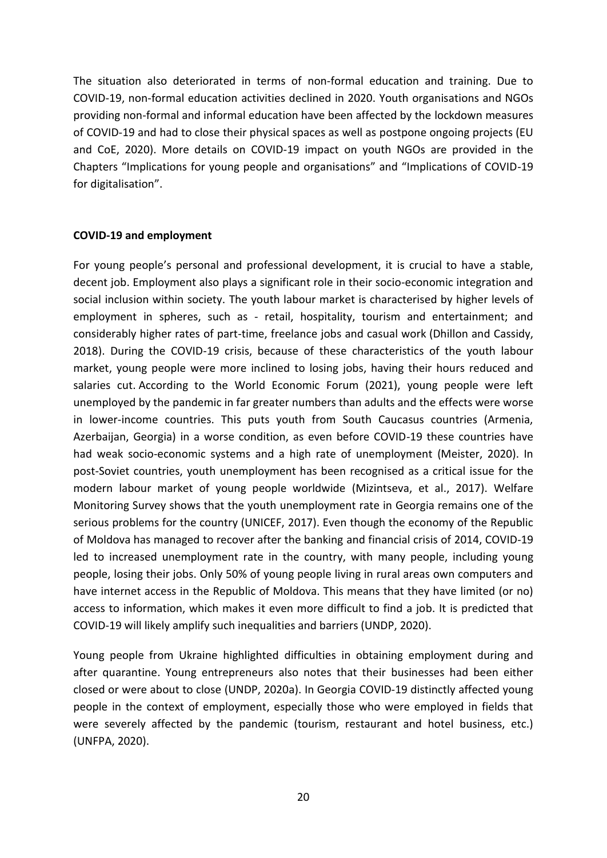The situation also deteriorated in terms of non-formal education and training. Due to COVID-19, non-formal education activities declined in 2020. Youth organisations and NGOs providing non-formal and informal education have been affected by the lockdown measures of COVID-19 and had to close their physical spaces as well as postpone ongoing projects (EU and CoE, 2020). More details on COVID-19 impact on youth NGOs are provided in the Chapters "Implications for young people and organisations" and "Implications of COVID-19 for digitalisation".

#### **COVID-19 and employment**

For young people's personal and professional development, it is crucial to have a stable, decent job. Employment also plays a significant role in their socio-economic integration and social inclusion within society. The youth labour market is characterised by higher levels of employment in spheres, such as - retail, hospitality, tourism and entertainment; and considerably higher rates of part-time, freelance jobs and casual work (Dhillon and Cassidy, 2018). During the COVID-19 crisis, because of these characteristics of the youth labour market, young people were more inclined to losing jobs, having their hours reduced and salaries cut. According to the World Economic Forum (2021), young people were left unemployed by the pandemic in far greater numbers than adults and the effects were worse in lower-income countries. This puts youth from South Caucasus countries (Armenia, Azerbaijan, Georgia) in a worse condition, as even before COVID-19 these countries have had weak socio-economic systems and a high rate of unemployment (Meister, 2020). In post-Soviet countries, youth unemployment has been recognised as a critical issue for the modern labour market of young people worldwide (Mizintseva, et al., 2017). Welfare Monitoring Survey shows that the youth unemployment rate in Georgia remains one of the serious problems for the country (UNICEF, 2017). Even though the economy of the Republic of Moldova has managed to recover after the banking and financial crisis of 2014, COVID-19 led to increased unemployment rate in the country, with many people, including young people, losing their jobs. Only 50% of young people living in rural areas own computers and have internet access in the Republic of Moldova. This means that they have limited (or no) access to information, which makes it even more difficult to find a job. It is predicted that COVID-19 will likely amplify such inequalities and barriers (UNDP, 2020).

Young people from Ukraine highlighted difficulties in obtaining employment during and after quarantine. Young entrepreneurs also notes that their businesses had been either closed or were about to close (UNDP, 2020a). In Georgia COVID-19 distinctly affected young people in the context of employment, especially those who were employed in fields that were severely affected by the pandemic (tourism, restaurant and hotel business, etc.) (UNFPA, 2020).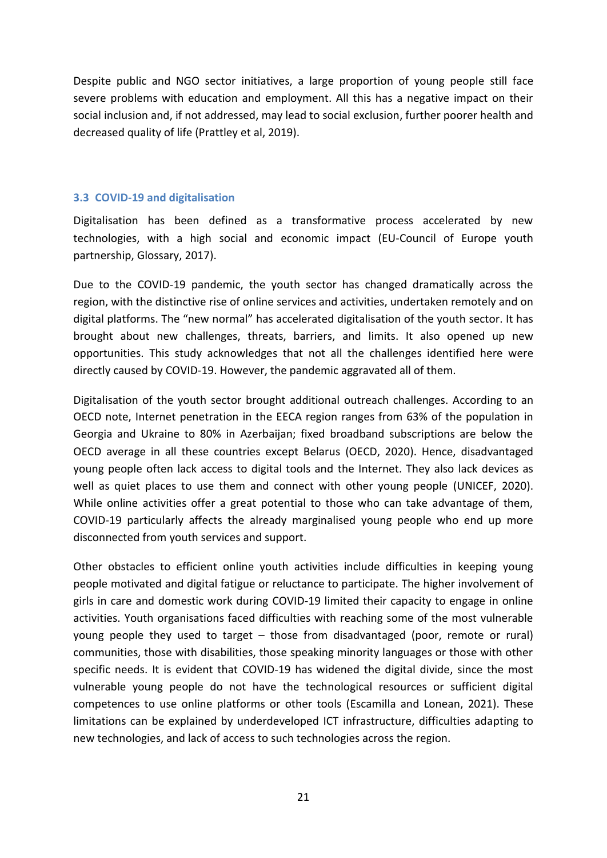Despite public and NGO sector initiatives, a large proportion of young people still face severe problems with education and employment. All this has a negative impact on their social inclusion and, if not addressed, may lead to social exclusion, further poorer health and decreased quality of life (Prattley et al, 2019).

#### <span id="page-20-0"></span>**3.3 COVID-19 and digitalisation**

Digitalisation has been defined as a transformative process accelerated by new technologies, with a high social and economic impact (EU-Council of Europe youth partnership, Glossary, 2017).

Due to the COVID-19 pandemic, the youth sector has changed dramatically across the region, with the distinctive rise of online services and activities, undertaken remotely and on digital platforms. The "new normal" has accelerated digitalisation of the youth sector. It has brought about new challenges, threats, barriers, and limits. It also opened up new opportunities. This study acknowledges that not all the challenges identified here were directly caused by COVID-19. However, the pandemic aggravated all of them.

Digitalisation of the youth sector brought additional outreach challenges. According to an OECD note, Internet penetration in the EECA region ranges from 63% of the population in Georgia and Ukraine to 80% in Azerbaijan; fixed broadband subscriptions are below the OECD average in all these countries except Belarus (OECD, 2020). Hence, disadvantaged young people often lack access to digital tools and the Internet. They also lack devices as well as quiet places to use them and connect with other young people (UNICEF, 2020). While online activities offer a great potential to those who can take advantage of them, COVID-19 particularly affects the already marginalised young people who end up more disconnected from youth services and support.

Other obstacles to efficient online youth activities include difficulties in keeping young people motivated and digital fatigue or reluctance to participate. The higher involvement of girls in care and domestic work during COVID-19 limited their capacity to engage in online activities. Youth organisations faced difficulties with reaching some of the most vulnerable young people they used to target – those from disadvantaged (poor, remote or rural) communities, those with disabilities, those speaking minority languages or those with other specific needs. It is evident that COVID-19 has widened the digital divide, since the most vulnerable young people do not have the technological resources or sufficient digital competences to use online platforms or other tools (Escamilla and Lonean, 2021). These limitations can be explained by underdeveloped ICT infrastructure, difficulties adapting to new technologies, and lack of access to such technologies across the region.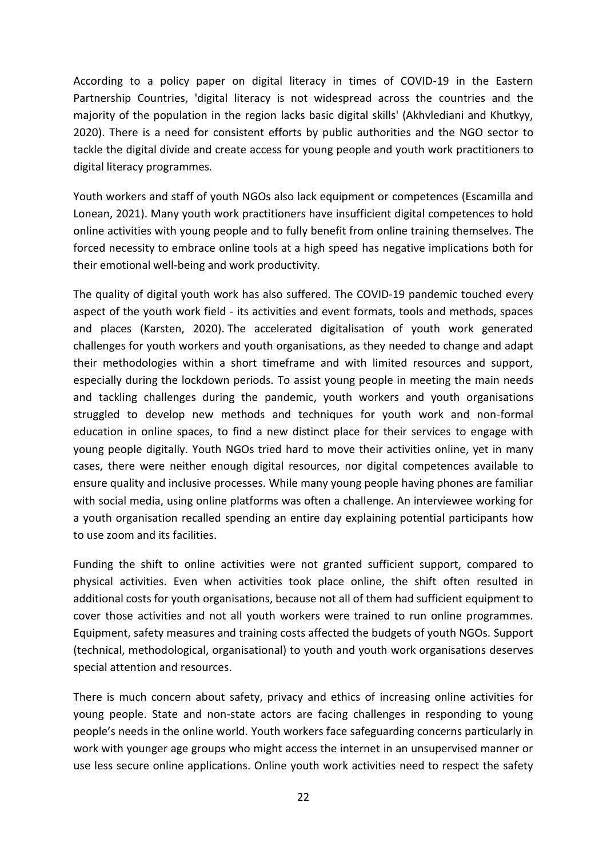According to a policy paper on digital literacy in times of COVID-19 in the Eastern Partnership Countries, 'digital literacy is not widespread across the countries and the majority of the population in the region lacks basic digital skills' (Akhvlediani and Khutkyy, 2020). There is a need for consistent efforts by public authorities and the NGO sector to tackle the digital divide and create access for young people and youth work practitioners to digital literacy programmes*.*

Youth workers and staff of youth NGOs also lack equipment or competences (Escamilla and Lonean, 2021). Many youth work practitioners have insufficient digital competences to hold online activities with young people and to fully benefit from online training themselves. The forced necessity to embrace online tools at a high speed has negative implications both for their emotional well-being and work productivity.

The quality of digital youth work has also suffered. The COVID-19 pandemic touched every aspect of the youth work field - its activities and event formats, tools and methods, spaces and places (Karsten, 2020). The accelerated digitalisation of youth work generated challenges for youth workers and youth organisations, as they needed to change and adapt their methodologies within a short timeframe and with limited resources and support, especially during the lockdown periods. To assist young people in meeting the main needs and tackling challenges during the pandemic, youth workers and youth organisations struggled to develop new methods and techniques for youth work and non-formal education in online spaces, to find a new distinct place for their services to engage with young people digitally. Youth NGOs tried hard to move their activities online, yet in many cases, there were neither enough digital resources, nor digital competences available to ensure quality and inclusive processes. While many young people having phones are familiar with social media, using online platforms was often a challenge. An interviewee working for a youth organisation recalled spending an entire day explaining potential participants how to use zoom and its facilities.

Funding the shift to online activities were not granted sufficient support, compared to physical activities. Even when activities took place online, the shift often resulted in additional costs for youth organisations, because not all of them had sufficient equipment to cover those activities and not all youth workers were trained to run online programmes. Equipment, safety measures and training costs affected the budgets of youth NGOs. Support (technical, methodological, organisational) to youth and youth work organisations deserves special attention and resources.

There is much concern about safety, privacy and ethics of increasing online activities for young people. State and non-state actors are facing challenges in responding to young people's needs in the online world. Youth workers face safeguarding concerns particularly in work with younger age groups who might access the internet in an unsupervised manner or use less secure online applications. Online youth work activities need to respect the safety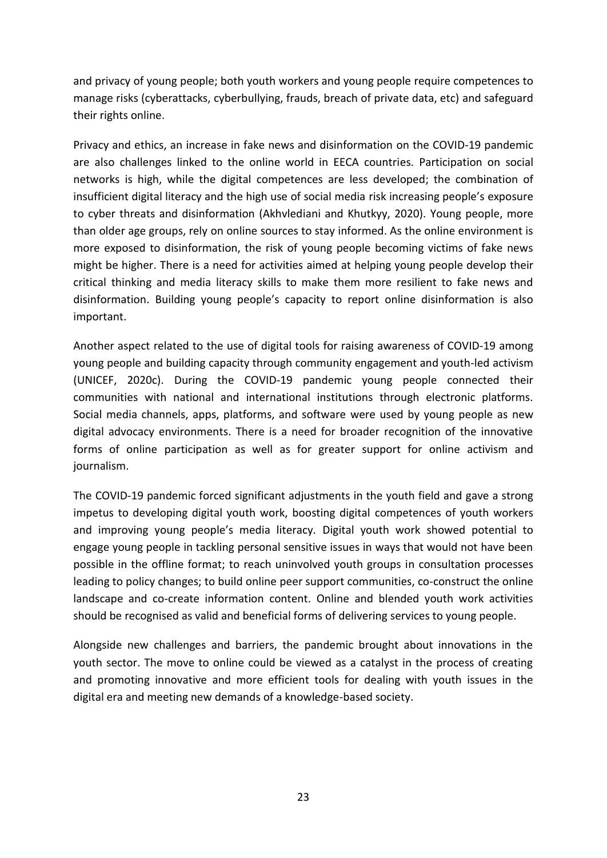and privacy of young people; both youth workers and young people require competences to manage risks (cyberattacks, cyberbullying, frauds, breach of private data, etc) and safeguard their rights online.

Privacy and ethics, an increase in fake news and disinformation on the COVID-19 pandemic are also challenges linked to the online world in EECA countries. Participation on social networks is high, while the digital competences are less developed; the combination of insufficient digital literacy and the high use of social media risk increasing people's exposure to cyber threats and disinformation (Akhvlediani and Khutkyy, 2020). Young people, more than older age groups, rely on online sources to stay informed. As the online environment is more exposed to disinformation, the risk of young people becoming victims of fake news might be higher. There is a need for activities aimed at helping young people develop their critical thinking and media literacy skills to make them more resilient to fake news and disinformation. Building young people's capacity to report online disinformation is also important.

Another aspect related to the use of digital tools for raising awareness of COVID-19 among young people and building capacity through community engagement and youth-led activism (UNICEF, 2020c). During the COVID-19 pandemic young people connected their communities with national and international institutions through electronic platforms. Social media channels, apps, platforms, and software were used by young people as new digital advocacy environments. There is a need for broader recognition of the innovative forms of online participation as well as for greater support for online activism and journalism.

The COVID-19 pandemic forced significant adjustments in the youth field and gave a strong impetus to developing digital youth work, boosting digital competences of youth workers and improving young people's media literacy. Digital youth work showed potential to engage young people in tackling personal sensitive issues in ways that would not have been possible in the offline format; to reach uninvolved youth groups in consultation processes leading to policy changes; to build online peer support communities, co-construct the online landscape and co-create information content. Online and blended youth work activities should be recognised as valid and beneficial forms of delivering services to young people.

Alongside new challenges and barriers, the pandemic brought about innovations in the youth sector. The move to online could be viewed as a catalyst in the process of creating and promoting innovative and more efficient tools for dealing with youth issues in the digital era and meeting new demands of a knowledge-based society.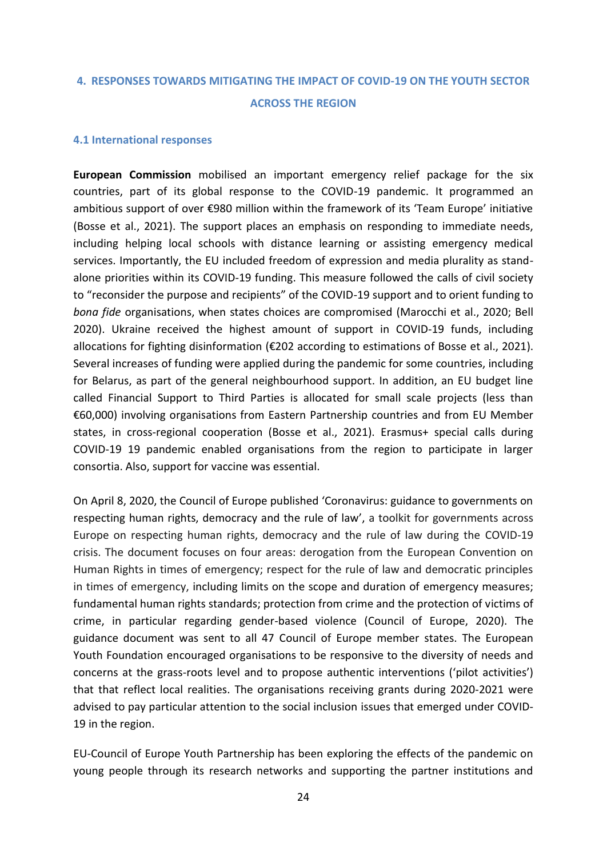### <span id="page-23-0"></span>**4. RESPONSES TOWARDS MITIGATING THE IMPACT OF COVID-19 ON THE YOUTH SECTOR ACROSS THE REGION**

#### <span id="page-23-1"></span>**4.1 International responses**

**European Commission** mobilised an important emergency relief package for the six countries, part of its global response to the COVID-19 pandemic. It programmed an ambitious support of over €980 million within the framework of its 'Team Europe' initiative (Bosse et al., 2021). The support places an emphasis on responding to immediate needs, including helping local schools with distance learning or assisting emergency medical services. Importantly, the EU included freedom of expression and media plurality as standalone priorities within its COVID-19 funding. This measure followed the calls of civil society to "reconsider the purpose and recipients" of the COVID-19 support and to orient funding to *bona fide* organisations, when states choices are compromised (Marocchi et al., 2020; Bell 2020). Ukraine received the highest amount of support in COVID-19 funds, including allocations for fighting disinformation ( $\epsilon$ 202 according to estimations of Bosse et al., 2021). Several increases of funding were applied during the pandemic for some countries, including for Belarus, as part of the general neighbourhood support. In addition, an EU budget line called Financial Support to Third Parties is allocated for small scale projects (less than €60,000) involving organisations from Eastern Partnership countries and from EU Member states, in cross-regional cooperation (Bosse et al., 2021). Erasmus+ special calls during COVID-19 19 pandemic enabled organisations from the region to participate in larger consortia. Also, support for vaccine was essential.

On April 8, 2020, the Council of Europe published 'Coronavirus: guidance to governments on respecting human rights, democracy and the rule of law', a toolkit for governments across Europe on respecting human rights, democracy and the rule of law during the COVID-19 crisis. The document focuses on four areas: derogation from the European Convention on Human Rights in times of emergency; respect for the rule of law and democratic principles in times of emergency, including limits on the scope and duration of emergency measures; fundamental human rights standards; protection from crime and the protection of victims of crime, in particular regarding gender-based violence (Council of Europe, 2020). The guidance document was sent to all 47 Council of Europe member states. The European Youth Foundation encouraged organisations to be responsive to the diversity of needs and concerns at the grass-roots level and to propose authentic interventions ('pilot activities') that that reflect local realities. The organisations receiving grants during 2020-2021 were advised to pay particular attention to the social inclusion issues that emerged under COVID-19 in the region.

EU-Council of Europe Youth Partnership has been exploring the effects of the pandemic on young people through its research networks and supporting the partner institutions and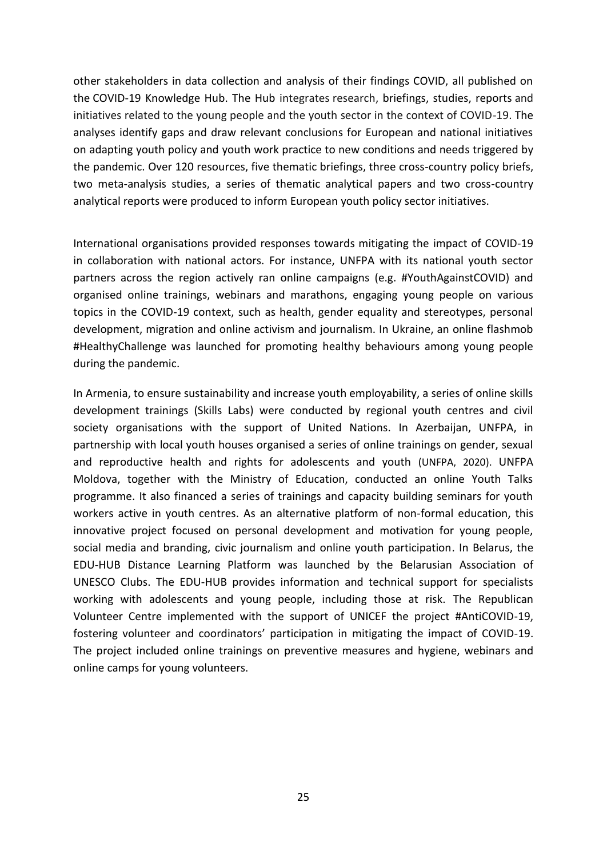other stakeholders in data collection and analysis of their findings COVID, all published on the COVID-19 Knowledge Hub. The Hub integrates research, briefings, studies, reports and initiatives related to the young people and the youth sector in the context of COVID-19. The analyses identify gaps and draw relevant conclusions for European and national initiatives on adapting youth policy and youth work practice to new conditions and needs triggered by the pandemic. Over 120 resources, five thematic briefings, three cross-country policy briefs, two meta-analysis studies, a series of thematic analytical papers and two cross-country analytical reports were produced to inform European youth policy sector initiatives.

International organisations provided responses towards mitigating the impact of COVID-19 in collaboration with national actors. For instance, UNFPA with its national youth sector partners across the region actively ran online campaigns (e.g. #YouthAgainstCOVID) and organised online trainings, webinars and marathons, engaging young people on various topics in the COVID-19 context, such as health, gender equality and stereotypes, personal development, migration and online activism and journalism. In Ukraine, an online flashmob #HealthyChallenge was launched for promoting healthy behaviours among young people during the pandemic.

In Armenia, to ensure sustainability and increase youth employability, a series of online skills development trainings (Skills Labs) were conducted by regional youth centres and civil society organisations with the support of United Nations. In Azerbaijan, UNFPA, in partnership with local youth houses organised a series of online trainings on gender, sexual and reproductive health and rights for adolescents and youth (UNFPA, 2020). UNFPA Moldova, together with the Ministry of Education, conducted an online Youth Talks programme. It also financed a series of trainings and capacity building seminars for youth workers active in youth centres. As an alternative platform of non-formal education, this innovative project focused on personal development and motivation for young people, social media and branding, civic journalism and online youth participation. In Belarus, the EDU-HUB Distance Learning Platform was launched by the Belarusian Association of UNESCO Clubs. The EDU-HUB provides information and technical support for specialists working with adolescents and young people, including those at risk. The Republican Volunteer Centre implemented with the support of UNICEF the project #AntiCOVID-19, fostering volunteer and coordinators' participation in mitigating the impact of COVID-19. The project included online trainings on preventive measures and hygiene, webinars and online camps for young volunteers.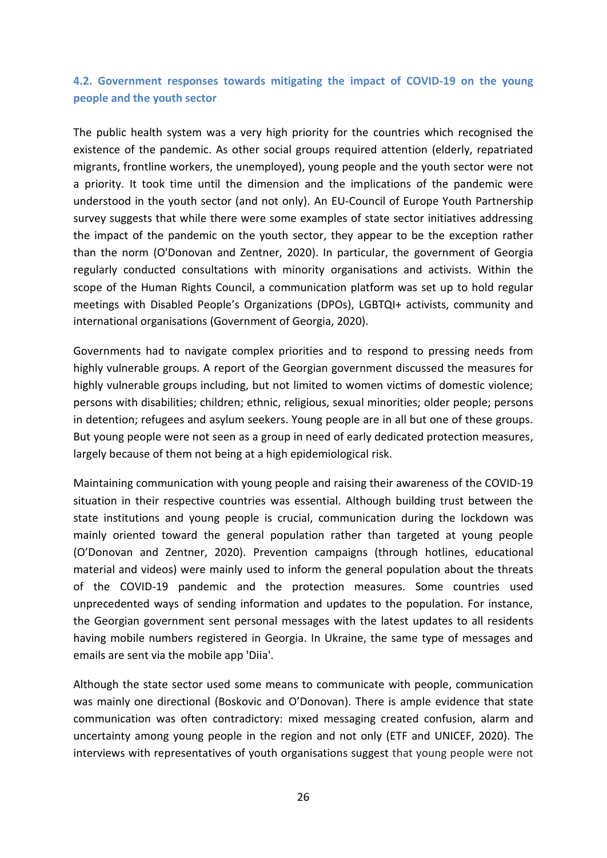### <span id="page-25-0"></span>**4.2. Government responses towards mitigating the impact of COVID-19 on the young people and the youth sector**

The public health system was a very high priority for the countries which recognised the existence of the pandemic. As other social groups required attention (elderly, repatriated migrants, frontline workers, the unemployed), young people and the youth sector were not a priority. It took time until the dimension and the implications of the pandemic were understood in the youth sector (and not only). An EU-Council of Europe Youth Partnership survey suggests that while there were some examples of state sector initiatives addressing the impact of the pandemic on the youth sector, they appear to be the exception rather than the norm (O'Donovan and Zentner, 2020). In particular, the government of Georgia regularly conducted consultations with minority organisations and activists. Within the scope of the Human Rights Council, a communication platform was set up to hold regular meetings with Disabled People's Organizations (DPOs), LGBTQI+ activists, community and international organisations (Government of Georgia, 2020).

Governments had to navigate complex priorities and to respond to pressing needs from highly vulnerable groups. A report of the Georgian government discussed the measures for highly vulnerable groups including, but not limited to women victims of domestic violence; persons with disabilities; children; ethnic, religious, sexual minorities; older people; persons in detention; refugees and asylum seekers. Young people are in all but one of these groups. But young people were not seen as a group in need of early dedicated protection measures, largely because of them not being at a high epidemiological risk.

Maintaining communication with young people and raising their awareness of the COVID-19 situation in their respective countries was essential. Although building trust between the state institutions and young people is crucial, communication during the lockdown was mainly oriented toward the general population rather than targeted at young people (O'Donovan and Zentner, 2020). Prevention campaigns (through hotlines, educational material and videos) were mainly used to inform the general population about the threats of the COVID-19 pandemic and the protection measures. Some countries used unprecedented ways of sending information and updates to the population. For instance, the Georgian government sent personal messages with the latest updates to all residents having mobile numbers registered in Georgia. In Ukraine, the same type of messages and emails are sent via the mobile app 'Diia'.

Although the state sector used some means to communicate with people, communication was mainly one directional (Boskovic and O'Donovan). There is ample evidence that state communication was often contradictory: mixed messaging created confusion, alarm and uncertainty among young people in the region and not only (ETF and UNICEF, 2020). The interviews with representatives of youth organisations suggest that young people were not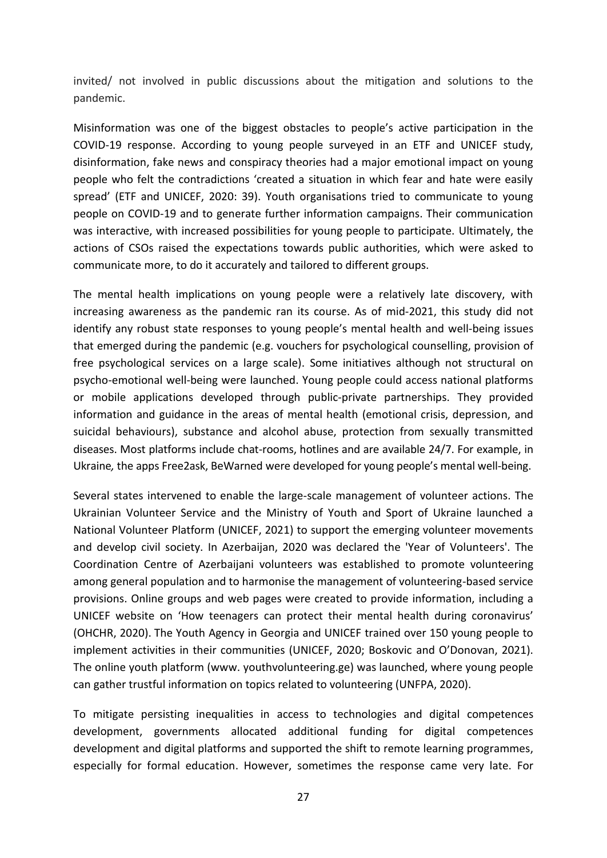invited/ not involved in public discussions about the mitigation and solutions to the pandemic.

Misinformation was one of the biggest obstacles to people's active participation in the COVID-19 response. According to young people surveyed in an ETF and UNICEF study, disinformation, fake news and conspiracy theories had a major emotional impact on young people who felt the contradictions 'created a situation in which fear and hate were easily spread' (ETF and UNICEF, 2020: 39). Youth organisations tried to communicate to young people on COVID-19 and to generate further information campaigns. Their communication was interactive, with increased possibilities for young people to participate. Ultimately, the actions of CSOs raised the expectations towards public authorities, which were asked to communicate more, to do it accurately and tailored to different groups.

The mental health implications on young people were a relatively late discovery, with increasing awareness as the pandemic ran its course. As of mid-2021, this study did not identify any robust state responses to young people's mental health and well-being issues that emerged during the pandemic (e.g. vouchers for psychological counselling, provision of free psychological services on a large scale). Some initiatives although not structural on psycho-emotional well-being were launched. Young people could access national platforms or mobile applications developed through public-private partnerships. They provided information and guidance in the areas of mental health (emotional crisis, depression, and suicidal behaviours), substance and alcohol abuse, protection from sexually transmitted diseases. Most platforms include chat-rooms, hotlines and are available 24/7. For example, in Ukraine*,* the apps Free2ask, BeWarned were developed for young people's mental well-being.

Several states intervened to enable the large-scale management of volunteer actions. The Ukrainian Volunteer Service and the Ministry of Youth and Sport of Ukraine launched a National Volunteer Platform (UNICEF, 2021) to support the emerging volunteer movements and develop civil society. In Azerbaijan, 2020 was declared the 'Year of Volunteers'. The Coordination Centre of Azerbaijani volunteers was established to promote volunteering among general population and to harmonise the management of volunteering-based service provisions. Online groups and web pages were created to provide information, including a UNICEF website on 'How teenagers can protect their mental health during coronavirus' (OHCHR, 2020). The Youth Agency in Georgia and UNICEF trained over 150 young people to implement activities in their communities (UNICEF, 2020; Boskovic and O'Donovan, 2021). The online youth platform (www. youthvolunteering.ge) was launched, where young people can gather trustful information on topics related to volunteering (UNFPA, 2020).

To mitigate persisting inequalities in access to technologies and digital competences development, governments allocated additional funding for digital competences development and digital platforms and supported the shift to remote learning programmes, especially for formal education. However, sometimes the response came very late. For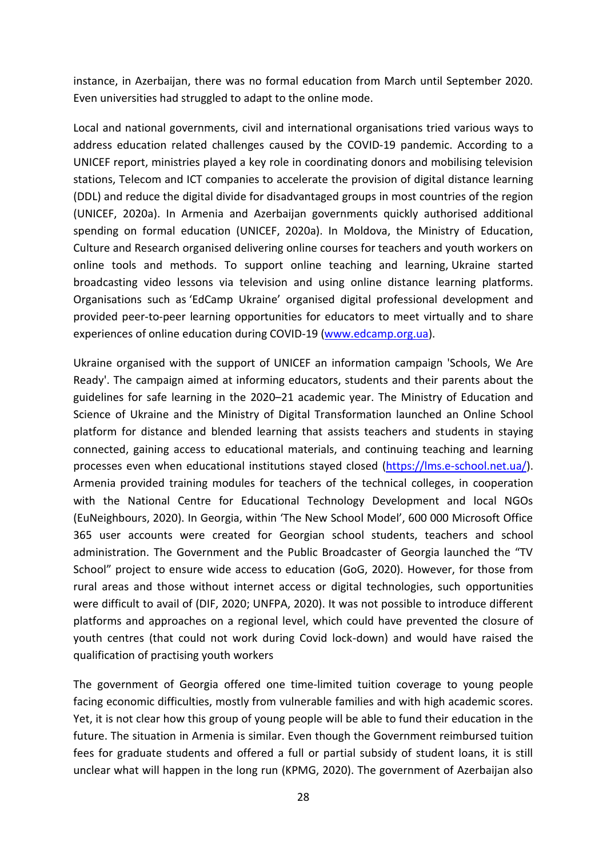instance, in Azerbaijan, there was no formal education from March until September 2020. Even universities had struggled to adapt to the online mode.

Local and national governments, civil and international organisations tried various ways to address education related challenges caused by the COVID-19 pandemic. According to a UNICEF report, ministries played a key role in coordinating donors and mobilising television stations, Telecom and ICT companies to accelerate the provision of digital distance learning (DDL) and reduce the digital divide for disadvantaged groups in most countries of the region (UNICEF, 2020a). In Armenia and Azerbaijan governments quickly authorised additional spending on formal education (UNICEF, 2020a). In Moldova, the Ministry of Education, Culture and Research organised delivering online courses for teachers and youth workers on online tools and methods. To support online teaching and learning, Ukraine started broadcasting video lessons via television and using online distance learning platforms. Organisations such as 'EdCamp Ukraine' organised digital professional development and provided peer-to-peer learning opportunities for educators to meet virtually and to share experiences of online education during COVID-19 [\(www.edcamp.org.ua\)](http://www.edcamp.org.ua/).

Ukraine organised with the support of UNICEF an information campaign 'Schools, We Are Ready'. The campaign aimed at informing educators, students and their parents about the guidelines for safe learning in the 2020–21 academic year. The Ministry of Education and Science of Ukraine and the Ministry of Digital Transformation launched an Online School platform for distance and blended learning that assists teachers and students in staying connected, gaining access to educational materials, and continuing teaching and learning processes even when educational institutions stayed closed [\(https://lms.e-school.net.ua/\)](https://lms.e-school.net.ua/). Armenia provided training modules for teachers of the technical colleges, in cooperation with the National Centre for Educational Technology Development and local NGOs (EuNeighbours, 2020). In Georgia, within 'The New School Model', 600 000 Microsoft Office 365 user accounts were created for Georgian school students, teachers and school administration. The Government and the Public Broadcaster of Georgia launched the "TV School" project to ensure wide access to education (GoG, 2020). However, for those from rural areas and those without internet access or digital technologies, such opportunities were difficult to avail of (DIF, 2020; UNFPA, 2020). It was not possible to introduce different platforms and approaches on a regional level, which could have prevented the closure of youth centres (that could not work during Covid lock-down) and would have raised the qualification of practising youth workers

The government of Georgia offered one time-limited tuition coverage to young people facing economic difficulties, mostly from vulnerable families and with high academic scores. Yet, it is not clear how this group of young people will be able to fund their education in the future. The situation in Armenia is similar. Even though the Government reimbursed tuition fees for graduate students and offered a full or partial subsidy of student loans, it is still unclear what will happen in the long run (KPMG, 2020). The government of Azerbaijan also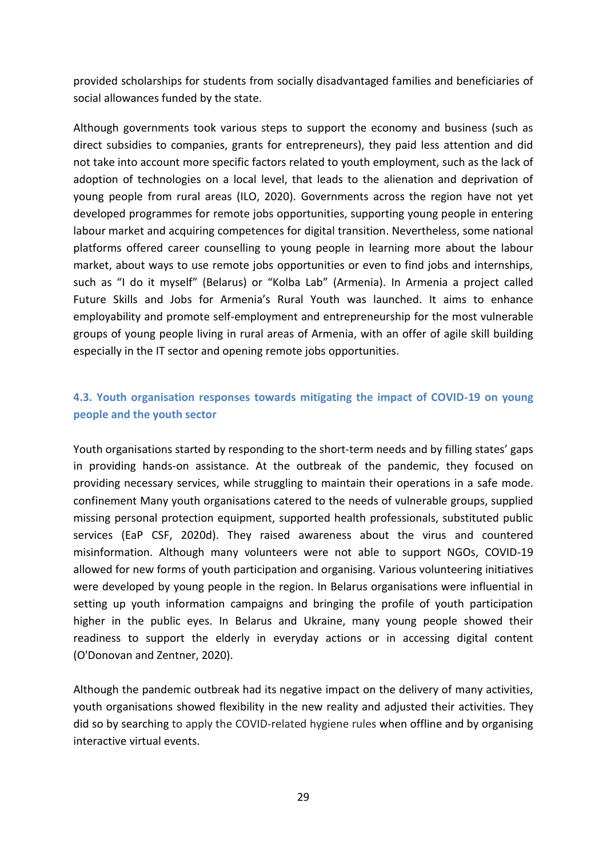provided scholarships for students from socially disadvantaged families and beneficiaries of social allowances funded by the state.

Although governments took various steps to support the economy and business (such as direct subsidies to companies, grants for entrepreneurs), they paid less attention and did not take into account more specific factors related to youth employment, such as the lack of adoption of technologies on a local level, that leads to the alienation and deprivation of young people from rural areas (ILO, 2020). Governments across the region have not yet developed programmes for remote jobs opportunities, supporting young people in entering labour market and acquiring competences for digital transition. Nevertheless, some national platforms offered career counselling to young people in learning more about the labour market, about ways to use remote jobs opportunities or even to find jobs and internships, such as "I do it myself" (Belarus) or "Kolba Lab" (Armenia). In Armenia a project called Future Skills and Jobs for Armenia's Rural Youth was launched. It aims to enhance employability and promote self-employment and entrepreneurship for the most vulnerable groups of young people living in rural areas of Armenia, with an offer of agile skill building especially in the IT sector and opening remote jobs opportunities.

### <span id="page-28-0"></span>**4.3. Youth organisation responses towards mitigating the impact of COVID-19 on young people and the youth sector**

Youth organisations started by responding to the short-term needs and by filling states' gaps in providing hands-on assistance. At the outbreak of the pandemic, they focused on providing necessary services, while struggling to maintain their operations in a safe mode. confinement Many youth organisations catered to the needs of vulnerable groups, supplied missing personal protection equipment, supported health professionals, substituted public services (EaP CSF, 2020d). They raised awareness about the virus and countered misinformation. Although many volunteers were not able to support NGOs, COVID-19 allowed for new forms of youth participation and organising. Various volunteering initiatives were developed by young people in the region. In Belarus organisations were influential in setting up youth information campaigns and bringing the profile of youth participation higher in the public eyes. In Belarus and Ukraine, many young people showed their readiness to support the elderly in everyday actions or in accessing digital content (O'Donovan and Zentner, 2020).

Although the pandemic outbreak had its negative impact on the delivery of many activities, youth organisations showed flexibility in the new reality and adjusted their activities. They did so by searching to apply the COVID-related hygiene rules when offline and by organising interactive virtual events.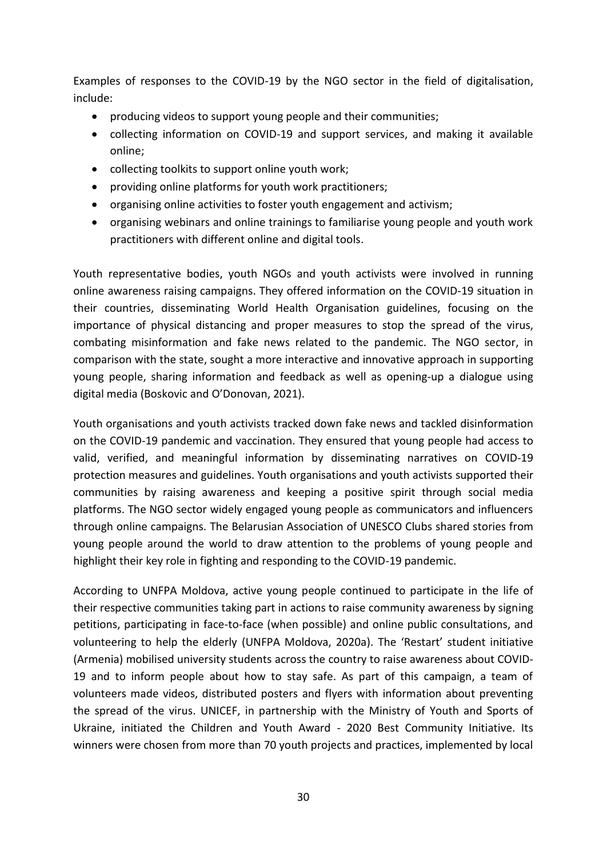Examples of responses to the COVID-19 by the NGO sector in the field of digitalisation, include:

- producing videos to support young people and their communities;
- collecting information on COVID-19 and support services, and making it available online;
- collecting toolkits to support online youth work;
- providing online platforms for youth work practitioners;
- organising online activities to foster youth engagement and activism;
- organising webinars and online trainings to familiarise young people and youth work practitioners with different online and digital tools.

Youth representative bodies, youth NGOs and youth activists were involved in running online awareness raising campaigns. They offered information on the COVID-19 situation in their countries, disseminating World Health Organisation guidelines, focusing on the importance of physical distancing and proper measures to stop the spread of the virus, combating misinformation and fake news related to the pandemic. The NGO sector, in comparison with the state, sought a more interactive and innovative approach in supporting young people, sharing information and feedback as well as opening-up a dialogue using digital media (Boskovic and O'Donovan, 2021).

Youth organisations and youth activists tracked down fake news and tackled disinformation on the COVID-19 pandemic and vaccination. They ensured that young people had access to valid, verified, and meaningful information by disseminating narratives on COVID-19 protection measures and guidelines. Youth organisations and youth activists supported their communities by raising awareness and keeping a positive spirit through social media platforms. The NGO sector widely engaged young people as communicators and influencers through online campaigns. The Belarusian Association of UNESCO Clubs shared stories from young people around the world to draw attention to the problems of young people and highlight their key role in fighting and responding to the COVID-19 pandemic.

According to UNFPA Moldova, active young people continued to participate in the life of their respective communities taking part in actions to raise community awareness by signing petitions, participating in face-to-face (when possible) and online public consultations, and volunteering to help the elderly (UNFPA Moldova, 2020a). The 'Restart' student initiative (Armenia) mobilised university students across the country to raise awareness about COVID-19 and to inform people about how to stay safe. As part of this campaign, a team of volunteers made videos, distributed posters and flyers with information about preventing the spread of the virus. UNICEF, in partnership with the Ministry of Youth and Sports of Ukraine, initiated the Children and Youth Award - 2020 Best Community Initiative. Its winners were chosen from more than 70 youth projects and practices, implemented by local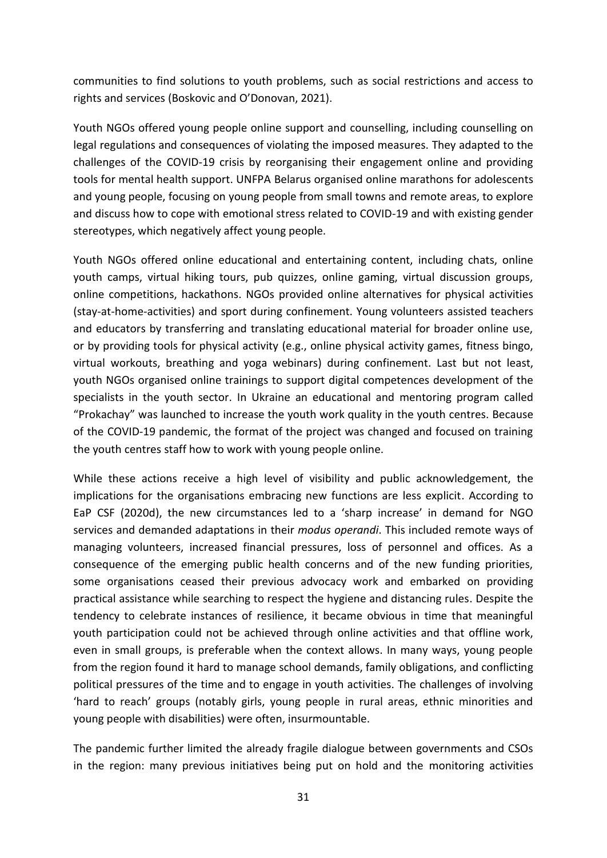communities to find solutions to youth problems, such as social restrictions and access to rights and services (Boskovic and O'Donovan, 2021).

Youth NGOs offered young people online support and counselling, including counselling on legal regulations and consequences of violating the imposed measures. They adapted to the challenges of the COVID-19 crisis by reorganising their engagement online and providing tools for mental health support. UNFPA Belarus organised online marathons for adolescents and young people, focusing on young people from small towns and remote areas, to explore and discuss how to cope with emotional stress related to COVID-19 and with existing gender stereotypes, which negatively affect young people.

Youth NGOs offered online educational and entertaining content, including chats, online youth camps, virtual hiking tours, pub quizzes, online gaming, virtual discussion groups, online competitions, hackathons. NGOs provided online alternatives for physical activities (stay-at-home-activities) and sport during confinement. Young volunteers assisted teachers and educators by transferring and translating educational material for broader online use, or by providing tools for physical activity (e.g., online physical activity games, fitness bingo, virtual workouts, breathing and yoga webinars) during confinement. Last but not least, youth NGOs organised online trainings to support digital competences development of the specialists in the youth sector. In Ukraine an educational and mentoring program called "Prokachay" was launched to increase the youth work quality in the youth centres. Because of the COVID-19 pandemic, the format of the project was changed and focused on training the youth centres staff how to work with young people online.

While these actions receive a high level of visibility and public acknowledgement, the implications for the organisations embracing new functions are less explicit. According to EaP CSF (2020d), the new circumstances led to a 'sharp increase' in demand for NGO services and demanded adaptations in their *modus operandi*. This included remote ways of managing volunteers, increased financial pressures, loss of personnel and offices. As a consequence of the emerging public health concerns and of the new funding priorities, some organisations ceased their previous advocacy work and embarked on providing practical assistance while searching to respect the hygiene and distancing rules. Despite the tendency to celebrate instances of resilience, it became obvious in time that meaningful youth participation could not be achieved through online activities and that offline work, even in small groups, is preferable when the context allows. In many ways, young people from the region found it hard to manage school demands, family obligations, and conflicting political pressures of the time and to engage in youth activities. The challenges of involving 'hard to reach' groups (notably girls, young people in rural areas, ethnic minorities and young people with disabilities) were often, insurmountable.

The pandemic further limited the already fragile dialogue between governments and CSOs in the region: many previous initiatives being put on hold and the monitoring activities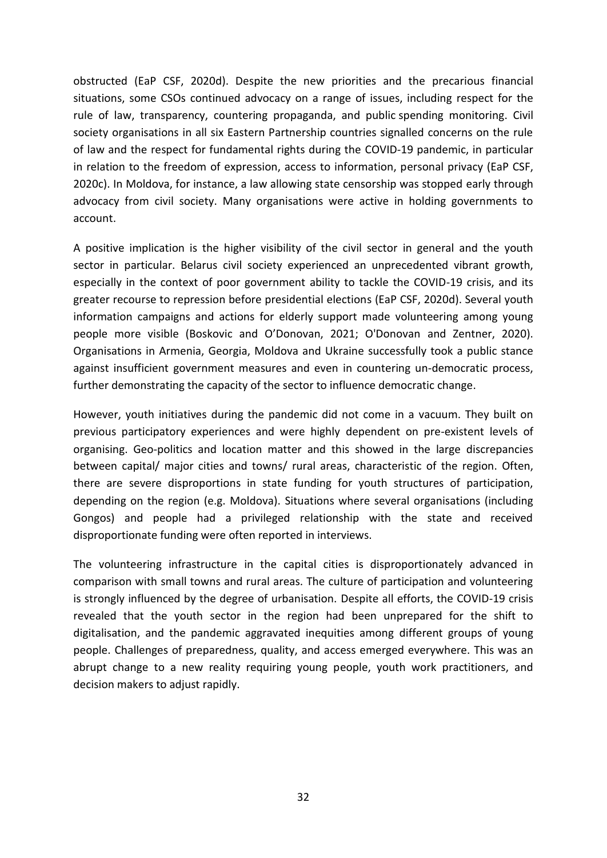obstructed (EaP CSF, 2020d). Despite the new priorities and the precarious financial situations, some CSOs continued advocacy on a range of issues, including respect for the rule of law, transparency, countering propaganda, and public spending monitoring. Civil society organisations in all six Eastern Partnership countries signalled concerns on the rule of law and the respect for fundamental rights during the COVID-19 pandemic, in particular in relation to the freedom of expression, access to information, personal privacy (EaP CSF, 2020c). In Moldova, for instance, a law allowing state censorship was stopped early through advocacy from civil society. Many organisations were active in holding governments to account.

A positive implication is the higher visibility of the civil sector in general and the youth sector in particular. Belarus civil society experienced an unprecedented vibrant growth, especially in the context of poor government ability to tackle the COVID-19 crisis, and its greater recourse to repression before presidential elections (EaP CSF, 2020d). Several youth information campaigns and actions for elderly support made volunteering among young people more visible (Boskovic and O'Donovan, 2021; O'Donovan and Zentner, 2020). Organisations in Armenia, Georgia, Moldova and Ukraine successfully took a public stance against insufficient government measures and even in countering un-democratic process, further demonstrating the capacity of the sector to influence democratic change.

However, youth initiatives during the pandemic did not come in a vacuum. They built on previous participatory experiences and were highly dependent on pre-existent levels of organising. Geo-politics and location matter and this showed in the large discrepancies between capital/ major cities and towns/ rural areas, characteristic of the region. Often, there are severe disproportions in state funding for youth structures of participation, depending on the region (e.g. Moldova). Situations where several organisations (including Gongos) and people had a privileged relationship with the state and received disproportionate funding were often reported in interviews.

The volunteering infrastructure in the capital cities is disproportionately advanced in comparison with small towns and rural areas. The culture of participation and volunteering is strongly influenced by the degree of urbanisation. Despite all efforts, the COVID-19 crisis revealed that the youth sector in the region had been unprepared for the shift to digitalisation, and the pandemic aggravated inequities among different groups of young people. Challenges of preparedness, quality, and access emerged everywhere. This was an abrupt change to a new reality requiring young people, youth work practitioners, and decision makers to adjust rapidly.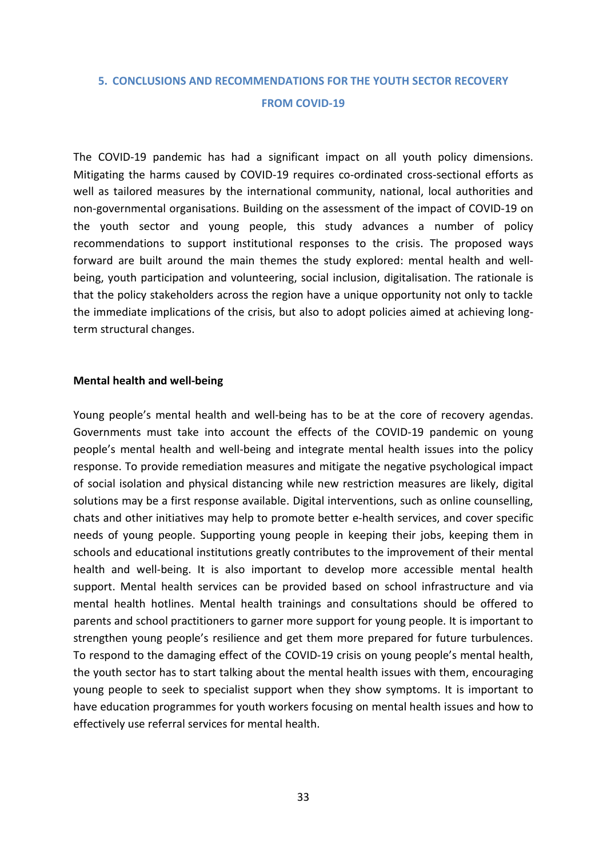### <span id="page-32-0"></span>**5. CONCLUSIONS AND RECOMMENDATIONS FOR THE YOUTH SECTOR RECOVERY FROM COVID-19**

The COVID-19 pandemic has had a significant impact on all youth policy dimensions. Mitigating the harms caused by COVID-19 requires co-ordinated cross-sectional efforts as well as tailored measures by the international community, national, local authorities and non-governmental organisations. Building on the assessment of the impact of COVID-19 on the youth sector and young people, this study advances a number of policy recommendations to support institutional responses to the crisis. The proposed ways forward are built around the main themes the study explored: mental health and wellbeing, youth participation and volunteering, social inclusion, digitalisation. The rationale is that the policy stakeholders across the region have a unique opportunity not only to tackle the immediate implications of the crisis, but also to adopt policies aimed at achieving longterm structural changes.

#### **Mental health and well-being**

Young people's mental health and well-being has to be at the core of recovery agendas. Governments must take into account the effects of the COVID-19 pandemic on young people's mental health and well-being and integrate mental health issues into the policy response. To provide remediation measures and mitigate the negative psychological impact of social isolation and physical distancing while new restriction measures are likely, digital solutions may be a first response available. Digital interventions, such as online counselling, chats and other initiatives may help to promote better e-health services, and cover specific needs of young people. Supporting young people in keeping their jobs, keeping them in schools and educational institutions greatly contributes to the improvement of their mental health and well-being. It is also important to develop more accessible mental health support. Mental health services can be provided based on school infrastructure and via mental health hotlines. Mental health trainings and consultations should be offered to parents and school practitioners to garner more support for young people. It is important to strengthen young people's resilience and get them more prepared for future turbulences. To respond to the damaging effect of the COVID-19 crisis on young people's mental health, the youth sector has to start talking about the mental health issues with them, encouraging young people to seek to specialist support when they show symptoms. It is important to have education programmes for youth workers focusing on mental health issues and how to effectively use referral services for mental health.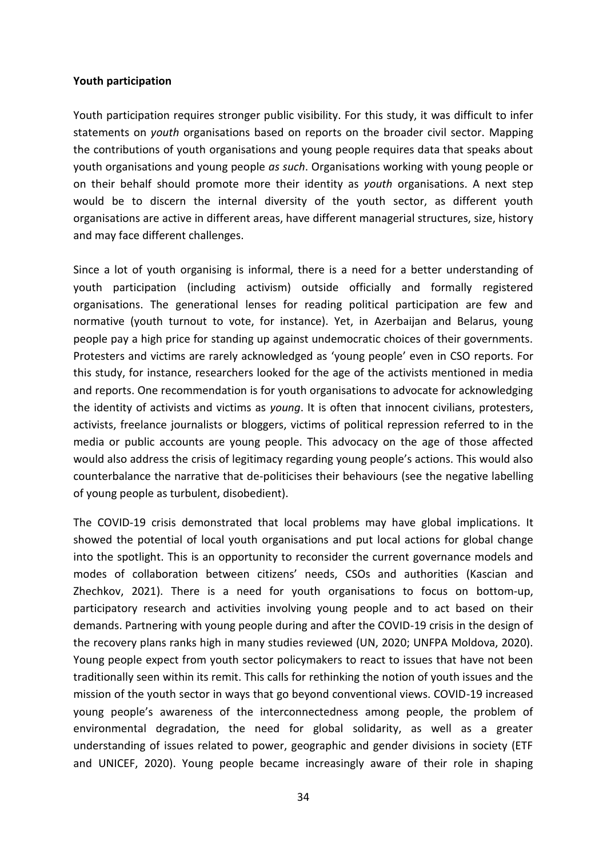#### **Youth participation**

Youth participation requires stronger public visibility. For this study, it was difficult to infer statements on *youth* organisations based on reports on the broader civil sector. Mapping the contributions of youth organisations and young people requires data that speaks about youth organisations and young people *as such*. Organisations working with young people or on their behalf should promote more their identity as *youth* organisations. A next step would be to discern the internal diversity of the youth sector, as different youth organisations are active in different areas, have different managerial structures, size, history and may face different challenges.

Since a lot of youth organising is informal, there is a need for a better understanding of youth participation (including activism) outside officially and formally registered organisations. The generational lenses for reading political participation are few and normative (youth turnout to vote, for instance). Yet, in Azerbaijan and Belarus, young people pay a high price for standing up against undemocratic choices of their governments. Protesters and victims are rarely acknowledged as 'young people' even in CSO reports. For this study, for instance, researchers looked for the age of the activists mentioned in media and reports. One recommendation is for youth organisations to advocate for acknowledging the identity of activists and victims as *young*. It is often that innocent civilians, protesters, activists, freelance journalists or bloggers, victims of political repression referred to in the media or public accounts are young people. This advocacy on the age of those affected would also address the crisis of legitimacy regarding young people's actions. This would also counterbalance the narrative that de-politicises their behaviours (see the negative labelling of young people as turbulent, disobedient).

The COVID-19 crisis demonstrated that local problems may have global implications. It showed the potential of local youth organisations and put local actions for global change into the spotlight. This is an opportunity to reconsider the current governance models and modes of collaboration between citizens' needs, CSOs and authorities (Kascian and Zhechkov, 2021). There is a need for youth organisations to focus on bottom-up, participatory research and activities involving young people and to act based on their demands. Partnering with young people during and after the COVID-19 crisis in the design of the recovery plans ranks high in many studies reviewed (UN, 2020; UNFPA Moldova, 2020). Young people expect from youth sector policymakers to react to issues that have not been traditionally seen within its remit. This calls for rethinking the notion of youth issues and the mission of the youth sector in ways that go beyond conventional views. COVID-19 increased young people's awareness of the interconnectedness among people, the problem of environmental degradation, the need for global solidarity, as well as a greater understanding of issues related to power, geographic and gender divisions in society (ETF and UNICEF, 2020). Young people became increasingly aware of their role in shaping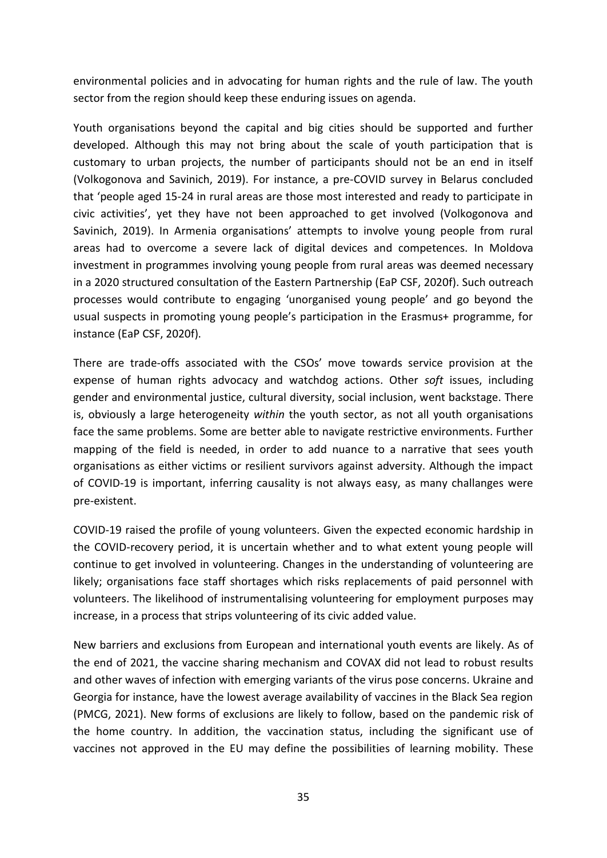environmental policies and in advocating for human rights and the rule of law. The youth sector from the region should keep these enduring issues on agenda.

Youth organisations beyond the capital and big cities should be supported and further developed. Although this may not bring about the scale of youth participation that is customary to urban projects, the number of participants should not be an end in itself (Volkogonova and Savinich, 2019). For instance, a pre-COVID survey in Belarus concluded that 'people aged 15-24 in rural areas are those most interested and ready to participate in civic activities', yet they have not been approached to get involved (Volkogonova and Savinich, 2019). In Armenia organisations' attempts to involve young people from rural areas had to overcome a severe lack of digital devices and competences. In Moldova investment in programmes involving young people from rural areas was deemed necessary in a 2020 structured consultation of the Eastern Partnership (EaP CSF, 2020f). Such outreach processes would contribute to engaging 'unorganised young people' and go beyond the usual suspects in promoting young people's participation in the Erasmus+ programme, for instance (EaP CSF, 2020f).

There are trade-offs associated with the CSOs' move towards service provision at the expense of human rights advocacy and watchdog actions. Other *soft* issues, including gender and environmental justice, cultural diversity, social inclusion, went backstage. There is, obviously a large heterogeneity *within* the youth sector, as not all youth organisations face the same problems. Some are better able to navigate restrictive environments. Further mapping of the field is needed, in order to add nuance to a narrative that sees youth organisations as either victims or resilient survivors against adversity. Although the impact of COVID-19 is important, inferring causality is not always easy, as many challanges were pre-existent.

COVID-19 raised the profile of young volunteers. Given the expected economic hardship in the COVID-recovery period, it is uncertain whether and to what extent young people will continue to get involved in volunteering. Changes in the understanding of volunteering are likely; organisations face staff shortages which risks replacements of paid personnel with volunteers. The likelihood of instrumentalising volunteering for employment purposes may increase, in a process that strips volunteering of its civic added value.

New barriers and exclusions from European and international youth events are likely. As of the end of 2021, the vaccine sharing mechanism and COVAX did not lead to robust results and other waves of infection with emerging variants of the virus pose concerns. Ukraine and Georgia for instance, have the lowest average availability of vaccines in the Black Sea region (PMCG, 2021). New forms of exclusions are likely to follow, based on the pandemic risk of the home country. In addition, the vaccination status, including the significant use of vaccines not approved in the EU may define the possibilities of learning mobility. These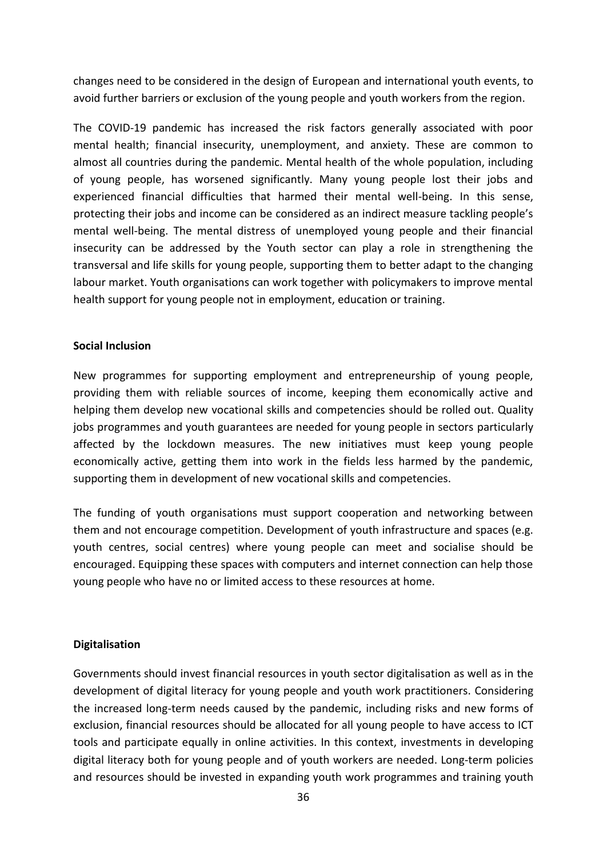changes need to be considered in the design of European and international youth events, to avoid further barriers or exclusion of the young people and youth workers from the region.

The COVID-19 pandemic has increased the risk factors generally associated with poor mental health; financial insecurity, unemployment, and anxiety. These are common to almost all countries during the pandemic. Mental health of the whole population, including of young people, has worsened significantly. Many young people lost their jobs and experienced financial difficulties that harmed their mental well-being. In this sense, protecting their jobs and income can be considered as an indirect measure tackling people's mental well-being. The mental distress of unemployed young people and their financial insecurity can be addressed by the Youth sector can play a role in strengthening the transversal and life skills for young people, supporting them to better adapt to the changing labour market. Youth organisations can work together with policymakers to improve mental health support for young people not in employment, education or training.

#### **Social Inclusion**

New programmes for supporting employment and entrepreneurship of young people, providing them with reliable sources of income, keeping them economically active and helping them develop new vocational skills and competencies should be rolled out. Quality jobs programmes and youth guarantees are needed for young people in sectors particularly affected by the lockdown measures. The new initiatives must keep young people economically active, getting them into work in the fields less harmed by the pandemic, supporting them in development of new vocational skills and competencies.

The funding of youth organisations must support cooperation and networking between them and not encourage competition. Development of youth infrastructure and spaces (e.g. youth centres, social centres) where young people can meet and socialise should be encouraged. Equipping these spaces with computers and internet connection can help those young people who have no or limited access to these resources at home.

#### **Digitalisation**

Governments should invest financial resources in youth sector digitalisation as well as in the development of digital literacy for young people and youth work practitioners. Considering the increased long-term needs caused by the pandemic, including risks and new forms of exclusion, financial resources should be allocated for all young people to have access to ICT tools and participate equally in online activities. In this context, investments in developing digital literacy both for young people and of youth workers are needed. Long-term policies and resources should be invested in expanding youth work programmes and training youth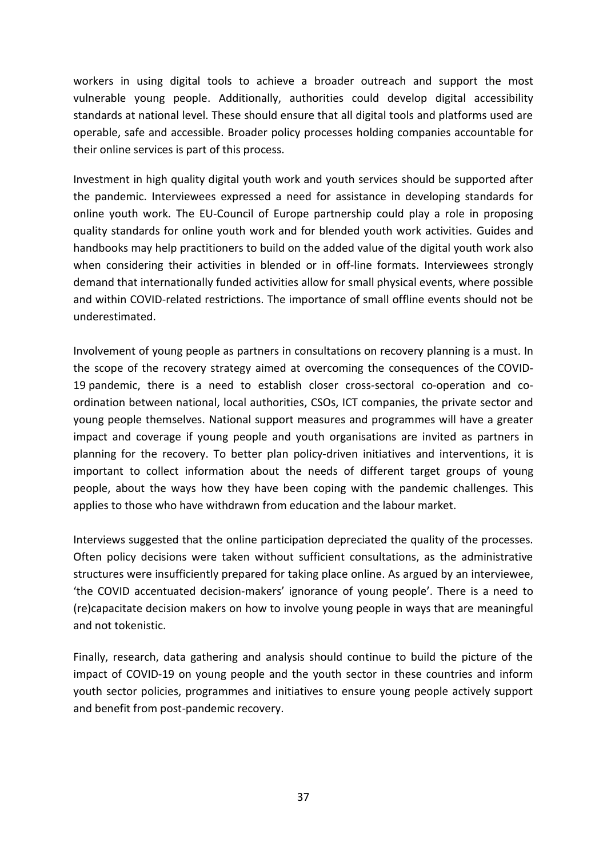workers in using digital tools to achieve a broader outreach and support the most vulnerable young people. Additionally, authorities could develop digital accessibility standards at national level. These should ensure that all digital tools and platforms used are operable, safe and accessible. Broader policy processes holding companies accountable for their online services is part of this process.

Investment in high quality digital youth work and youth services should be supported after the pandemic. Interviewees expressed a need for assistance in developing standards for online youth work. The EU-Council of Europe partnership could play a role in proposing quality standards for online youth work and for blended youth work activities. Guides and handbooks may help practitioners to build on the added value of the digital youth work also when considering their activities in blended or in off-line formats. Interviewees strongly demand that internationally funded activities allow for small physical events, where possible and within COVID-related restrictions. The importance of small offline events should not be underestimated.

Involvement of young people as partners in consultations on recovery planning is a must. In the scope of the recovery strategy aimed at overcoming the consequences of the COVID-19 pandemic, there is a need to establish closer cross-sectoral co-operation and coordination between national, local authorities, CSOs, ICT companies, the private sector and young people themselves. National support measures and programmes will have a greater impact and coverage if young people and youth organisations are invited as partners in planning for the recovery. To better plan policy-driven initiatives and interventions, it is important to collect information about the needs of different target groups of young people, about the ways how they have been coping with the pandemic challenges*.* This applies to those who have withdrawn from education and the labour market.

Interviews suggested that the online participation depreciated the quality of the processes. Often policy decisions were taken without sufficient consultations, as the administrative structures were insufficiently prepared for taking place online. As argued by an interviewee, 'the COVID accentuated decision-makers' ignorance of young people'. There is a need to (re)capacitate decision makers on how to involve young people in ways that are meaningful and not tokenistic.

Finally, research, data gathering and analysis should continue to build the picture of the impact of COVID-19 on young people and the youth sector in these countries and inform youth sector policies, programmes and initiatives to ensure young people actively support and benefit from post-pandemic recovery.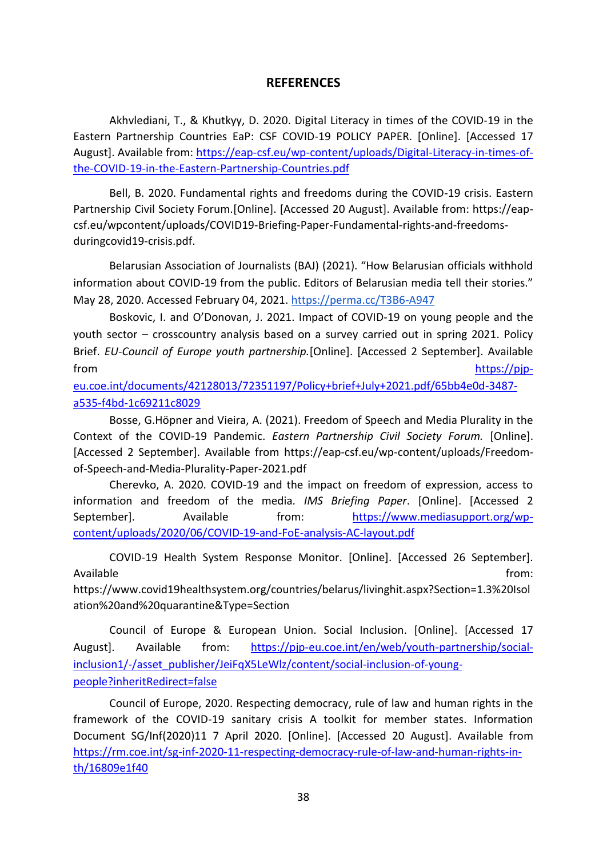#### **REFERENCES**

<span id="page-37-0"></span>Akhvlediani, T., & Khutkyy, D. 2020. Digital Literacy in times of the COVID-19 in the Eastern Partnership Countries EaP: CSF COVID-19 POLICY PAPER. [Online]. [Accessed 17 August]. Available from: [https://eap-csf.eu/wp-content/uploads/Digital-Literacy-in-times-of](https://eap-csf.eu/wp-content/uploads/Digital-Literacy-in-times-of-the-Covid-19-in-the-Eastern-Partnership-Countries.pdf)[the-COVID-19-in-the-Eastern-Partnership-Countries.pdf](https://eap-csf.eu/wp-content/uploads/Digital-Literacy-in-times-of-the-Covid-19-in-the-Eastern-Partnership-Countries.pdf)

Bell, B. 2020. Fundamental rights and freedoms during the COVID-19 crisis. Eastern Partnership Civil Society Forum.[Online]. [Accessed 20 August]. Available from: https://eapcsf.eu/wpcontent/uploads/COVID19-Briefing-Paper-Fundamental-rights-and-freedomsduringcovid19-crisis.pdf.

Belarusian Association of Journalists (BAJ) (2021). "How Belarusian officials withhold information about COVID-19 from the public. Editors of Belarusian media tell their stories." May 28, 2020. Accessed February 04, 2021. <https://perma.cc/T3B6-A947>

Boskovic, I. and O'Donovan, J. 2021. Impact of COVID-19 on young people and the youth sector – crosscountry analysis based on a survey carried out in spring 2021. Policy Brief. *EU-Council of Europe youth partnership.*[Online]. [Accessed 2 September]. Available from [https://pjp-](https://pjp-eu.coe.int/documents/42128013/72351197/Policy+brief+July+2021.pdf/65bb4e0d-3487-a535-f4bd-1c69211c8029)

[eu.coe.int/documents/42128013/72351197/Policy+brief+July+2021.pdf/65bb4e0d-3487](https://pjp-eu.coe.int/documents/42128013/72351197/Policy+brief+July+2021.pdf/65bb4e0d-3487-a535-f4bd-1c69211c8029) [a535-f4bd-1c69211c8029](https://pjp-eu.coe.int/documents/42128013/72351197/Policy+brief+July+2021.pdf/65bb4e0d-3487-a535-f4bd-1c69211c8029)

Bosse, G.Höpner and Vieira, A. (2021). Freedom of Speech and Media Plurality in the Context of the COVID-19 Pandemic. *Eastern Partnership Civil Society Forum.* [Online]. [Accessed 2 September]. Available from https://eap-csf.eu/wp-content/uploads/Freedomof-Speech-and-Media-Plurality-Paper-2021.pdf

Cherevko, A. 2020. COVID-19 and the impact on freedom of expression, access to information and freedom of the media*. IMS Briefing Paper*. [Online]. [Accessed 2 September]. Available from: [https://www.mediasupport.org/wp](https://www.mediasupport.org/wp-content/uploads/2020/06/Covid-19-and-FoE-analysis-AC-layout.pdf)[content/uploads/2020/06/COVID-19-and-FoE-analysis-AC-layout.pdf](https://www.mediasupport.org/wp-content/uploads/2020/06/Covid-19-and-FoE-analysis-AC-layout.pdf)

COVID-19 Health System Response Monitor. [Online]. [Accessed 26 September]. Available from: the state of the state of the state of the state of the state of the state of the state of the state of the state of the state of the state of the state of the state of the state of the state of the state o https://www.covid19healthsystem.org/countries/belarus/livinghit.aspx?Section=1.3%20Isol

ation%20and%20quarantine&Type=Section

Council of Europe & European Union. Social Inclusion. [Online]. [Accessed 17 August]. Available from: [https://pjp-eu.coe.int/en/web/youth-partnership/social](https://pjp-eu.coe.int/en/web/youth-partnership/social-inclusion1/-/asset_publisher/JeiFqX5LeWlz/content/social-inclusion-of-young-people?inheritRedirect=false)[inclusion1/-/asset\\_publisher/JeiFqX5LeWlz/content/social-inclusion-of-young](https://pjp-eu.coe.int/en/web/youth-partnership/social-inclusion1/-/asset_publisher/JeiFqX5LeWlz/content/social-inclusion-of-young-people?inheritRedirect=false)[people?inheritRedirect=false](https://pjp-eu.coe.int/en/web/youth-partnership/social-inclusion1/-/asset_publisher/JeiFqX5LeWlz/content/social-inclusion-of-young-people?inheritRedirect=false)

Council of Europe, 2020. Respecting democracy, rule of law and human rights in the framework of the COVID-19 sanitary crisis A toolkit for member states. Information Document SG/Inf(2020)11 7 April 2020. [Online]. [Accessed 20 August]. Available from [https://rm.coe.int/sg-inf-2020-11-respecting-democracy-rule-of-law-and-human-rights-in](https://rm.coe.int/sg-inf-2020-11-respecting-democracy-rule-of-law-and-human-rights-in-th/16809e1f40)[th/16809e1f40](https://rm.coe.int/sg-inf-2020-11-respecting-democracy-rule-of-law-and-human-rights-in-th/16809e1f40)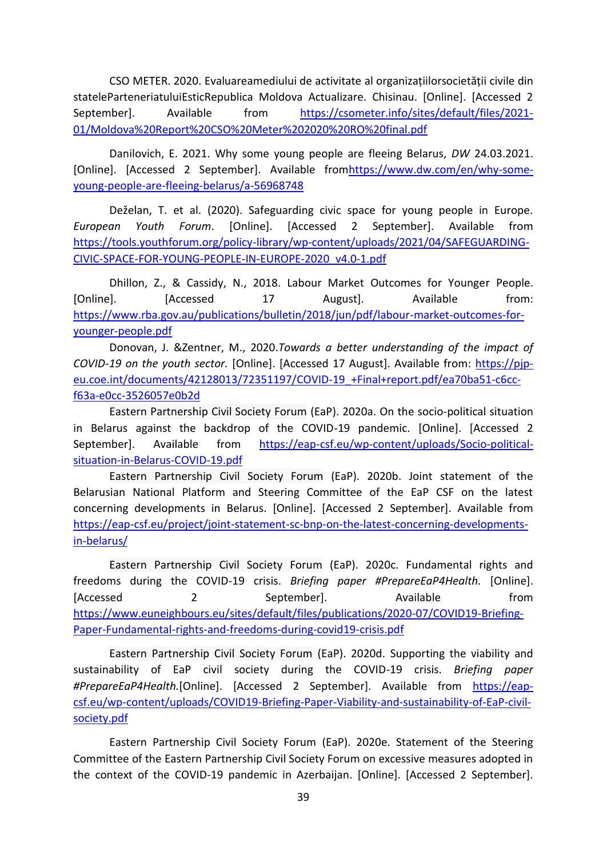CSO METER. 2020. Evaluareamediului de activitate al organizațiilorsocietății civile din stateleParteneriatuluiEsticRepublica Moldova Actualizare. Chisinau. [Online]. [Accessed 2 September]. Available from [https://csometer.info/sites/default/files/2021-](https://csometer.info/sites/default/files/2021-01/Moldova%20Report%20CSO%20Meter%202020%20RO%20final.pdf) [01/Moldova%20Report%20CSO%20Meter%202020%20RO%20final.pdf](https://csometer.info/sites/default/files/2021-01/Moldova%20Report%20CSO%20Meter%202020%20RO%20final.pdf)

Danilovich, E. 2021. Why some young people are fleeing Belarus, *DW* 24.03.2021. [Online]. [Accessed 2 September]. Available fro[mhttps://www.dw.com/en/why-some](https://www.dw.com/en/why-some-young-people-are-fleeing-belarus/a-56968748)[young-people-are-fleeing-belarus/a-56968748](https://www.dw.com/en/why-some-young-people-are-fleeing-belarus/a-56968748)

Deželan, T. et al. (2020). Safeguarding civic space for young people in Europe. *European Youth Forum*. [Online]. [Accessed 2 September]. Available from [https://tools.youthforum.org/policy-library/wp-content/uploads/2021/04/SAFEGUARDING-](https://tools.youthforum.org/policy-library/wp-content/uploads/2021/04/SAFEGUARDING-CIVIC-SPACE-FOR-YOUNG-PEOPLE-IN-EUROPE-2020_v4.0-1.pdf)[CIVIC-SPACE-FOR-YOUNG-PEOPLE-IN-EUROPE-2020\\_v4.0-1.pdf](https://tools.youthforum.org/policy-library/wp-content/uploads/2021/04/SAFEGUARDING-CIVIC-SPACE-FOR-YOUNG-PEOPLE-IN-EUROPE-2020_v4.0-1.pdf)

Dhillon, Z., & Cassidy, N., 2018. Labour Market Outcomes for Younger People. [Online]. [Accessed 17 August]. Available from: [https://www.rba.gov.au/publications/bulletin/2018/jun/pdf/labour-market-outcomes-for](https://www.rba.gov.au/publications/bulletin/2018/jun/pdf/labour-market-outcomes-for-younger-people.pdf)[younger-people.pdf](https://www.rba.gov.au/publications/bulletin/2018/jun/pdf/labour-market-outcomes-for-younger-people.pdf)

Donovan, J. &Zentner, M., 2020.*Towards a better understanding of the impact of COVID-19 on the youth sector.* [Online]. [Accessed 17 August]. Available from: [https://pjp](https://pjp-eu.coe.int/documents/42128013/72351197/Covid-19_+Final+report.pdf/ea70ba51-c6cc-f63a-e0cc-3526057e0b2d)[eu.coe.int/documents/42128013/72351197/COVID-19\\_+Final+report.pdf/ea70ba51-c6cc](https://pjp-eu.coe.int/documents/42128013/72351197/Covid-19_+Final+report.pdf/ea70ba51-c6cc-f63a-e0cc-3526057e0b2d)[f63a-e0cc-3526057e0b2d](https://pjp-eu.coe.int/documents/42128013/72351197/Covid-19_+Final+report.pdf/ea70ba51-c6cc-f63a-e0cc-3526057e0b2d)

Eastern Partnership Civil Society Forum (EaP). 2020a. On the socio-political situation in Belarus against the backdrop of the COVID-19 pandemic. [Online]. [Accessed 2 September]. Available from [https://eap-csf.eu/wp-content/uploads/Socio-political](https://eap-csf.eu/wp-content/uploads/Socio-political-situation-in-Belarus-COVID-19.pdf)[situation-in-Belarus-COVID-19.pdf](https://eap-csf.eu/wp-content/uploads/Socio-political-situation-in-Belarus-COVID-19.pdf)

Eastern Partnership Civil Society Forum (EaP). 2020b. Joint statement of the Belarusian National Platform and Steering Committee of the EaP CSF on the latest concerning developments in Belarus. [Online]. [Accessed 2 September]. Available from [https://eap-csf.eu/project/joint-statement-sc-bnp-on-the-latest-concerning-developments](https://eap-csf.eu/project/joint-statement-sc-bnp-on-the-latest-concerning-developments-in-belarus/)[in-belarus/](https://eap-csf.eu/project/joint-statement-sc-bnp-on-the-latest-concerning-developments-in-belarus/)

Eastern Partnership Civil Society Forum (EaP). 2020c. Fundamental rights and freedoms during the COVID-19 crisis. *Briefing paper #PrepareEaP4Health.* [Online]. [Accessed 2 2 September]. Available from [https://www.euneighbours.eu/sites/default/files/publications/2020-07/COVID19-Briefing-](https://www.euneighbours.eu/sites/default/files/publications/2020-07/COVID19-Briefing-Paper-Fundamental-rights-and-freedoms-during-covid19-crisis.pdf)[Paper-Fundamental-rights-and-freedoms-during-covid19-crisis.pdf](https://www.euneighbours.eu/sites/default/files/publications/2020-07/COVID19-Briefing-Paper-Fundamental-rights-and-freedoms-during-covid19-crisis.pdf)

Eastern Partnership Civil Society Forum (EaP). 2020d. Supporting the viability and sustainability of EaP civil society during the COVID-19 crisis. *Briefing paper*  #PrepareEaP4Health.[Online]. [Accessed 2 September]. Available from [https://eap](https://eap-csf.eu/wp-content/uploads/COVID19-Briefing-Paper-Viability-and-sustainability-of-EaP-civil-society.pdf)[csf.eu/wp-content/uploads/COVID19-Briefing-Paper-Viability-and-sustainability-of-EaP-civil](https://eap-csf.eu/wp-content/uploads/COVID19-Briefing-Paper-Viability-and-sustainability-of-EaP-civil-society.pdf)[society.pdf](https://eap-csf.eu/wp-content/uploads/COVID19-Briefing-Paper-Viability-and-sustainability-of-EaP-civil-society.pdf)

Eastern Partnership Civil Society Forum (EaP). 2020e. Statement of the Steering Committee of the Eastern Partnership Civil Society Forum on excessive measures adopted in the context of the COVID-19 pandemic in Azerbaijan. [Online]. [Accessed 2 September].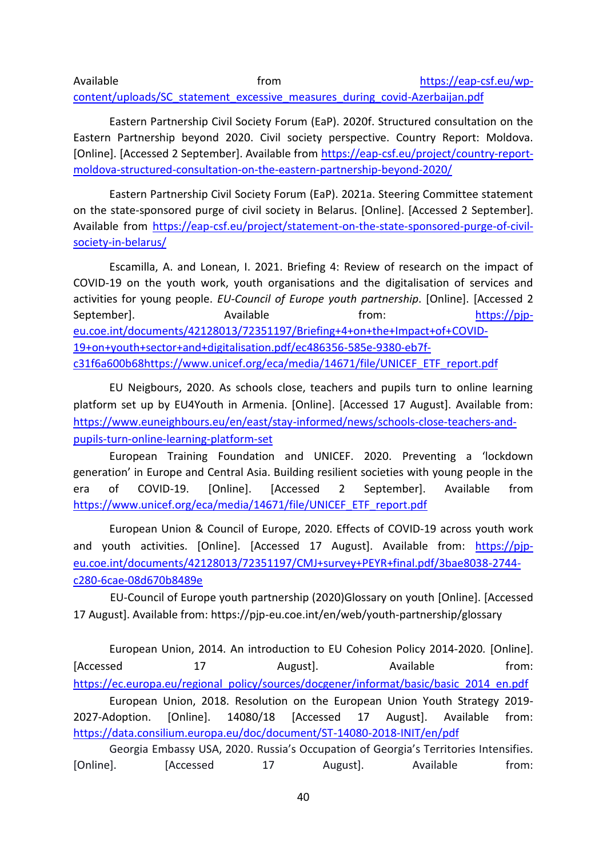Available **from** from [https://eap-csf.eu/wp](https://eap-csf.eu/wp-content/uploads/SC_statement_excessive_measures_during_covid-Azerbaijan.pdf)[content/uploads/SC\\_statement\\_excessive\\_measures\\_during\\_covid-Azerbaijan.pdf](https://eap-csf.eu/wp-content/uploads/SC_statement_excessive_measures_during_covid-Azerbaijan.pdf)

Eastern Partnership Civil Society Forum (EaP). 2020f. Structured consultation on the Eastern Partnership beyond 2020. Civil society perspective. Country Report: Moldova. [Online]. [Accessed 2 September]. Available from [https://eap-csf.eu/project/country-report](https://eap-csf.eu/project/country-report-moldova-structured-consultation-on-the-eastern-partnership-beyond-2020/)[moldova-structured-consultation-on-the-eastern-partnership-beyond-2020/](https://eap-csf.eu/project/country-report-moldova-structured-consultation-on-the-eastern-partnership-beyond-2020/)

Eastern Partnership Civil Society Forum (EaP). 2021a. Steering Committee statement on the state-sponsored purge of civil society in Belarus. [Online]. [Accessed 2 September]. Available from [https://eap-csf.eu/project/statement-on-the-state-sponsored-purge-of-civil](https://eap-csf.eu/project/statement-on-the-state-sponsored-purge-of-civil-society-in-belarus/)[society-in-belarus/](https://eap-csf.eu/project/statement-on-the-state-sponsored-purge-of-civil-society-in-belarus/)

Escamilla, A. and Lonean, I. 2021. Briefing 4: Review of research on the impact of COVID-19 on the youth work, youth organisations and the digitalisation of services and activities for young people. *EU-Council of Europe youth partnership*. [Online]. [Accessed 2 September]. Available from: [https://pjp](https://pjp-eu.coe.int/documents/42128013/72351197/Briefing+4+on+the+Impact+of+Covid-19+on+youth+sector+and+digitalisation.pdf/ec486356-585e-9380-eb7f-c31f6a600b68)[eu.coe.int/documents/42128013/72351197/Briefing+4+on+the+Impact+of+COVID-](https://pjp-eu.coe.int/documents/42128013/72351197/Briefing+4+on+the+Impact+of+Covid-19+on+youth+sector+and+digitalisation.pdf/ec486356-585e-9380-eb7f-c31f6a600b68)[19+on+youth+sector+and+digitalisation.pdf/ec486356-585e-9380-eb7f](https://pjp-eu.coe.int/documents/42128013/72351197/Briefing+4+on+the+Impact+of+Covid-19+on+youth+sector+and+digitalisation.pdf/ec486356-585e-9380-eb7f-c31f6a600b68)[c31f6a600b68](https://pjp-eu.coe.int/documents/42128013/72351197/Briefing+4+on+the+Impact+of+Covid-19+on+youth+sector+and+digitalisation.pdf/ec486356-585e-9380-eb7f-c31f6a600b68)[https://www.unicef.org/eca/media/14671/file/UNICEF\\_ETF\\_report.pdf](https://www.unicef.org/eca/media/14671/file/UNICEF_ETF_report.pdf)

EU Neigbours, 2020. As schools close, teachers and pupils turn to online learning platform set up by EU4Youth in Armenia. [Online]. [Accessed 17 August]. Available from: [https://www.euneighbours.eu/en/east/stay-informed/news/schools-close-teachers-and](https://www.euneighbours.eu/en/east/stay-informed/news/schools-close-teachers-and-pupils-turn-online-learning-platform-set)[pupils-turn-online-learning-platform-set](https://www.euneighbours.eu/en/east/stay-informed/news/schools-close-teachers-and-pupils-turn-online-learning-platform-set)

European Training Foundation and UNICEF. 2020. Preventing a 'lockdown generation' in Europe and Central Asia. Building resilient societies with young people in the era of COVID-19. [Online]. [Accessed 2 September]. Available from [https://www.unicef.org/eca/media/14671/file/UNICEF\\_ETF\\_report.pdf](https://www.unicef.org/eca/media/14671/file/UNICEF_ETF_report.pdf)

European Union & Council of Europe, 2020. Effects of COVID-19 across youth work and youth activities. [Online]. [Accessed 17 August]. Available from: [https://pjp](https://pjp-eu.coe.int/documents/42128013/72351197/CMJ+survey+PEYR+final.pdf/3bae8038-2744-c280-6cae-08d670b8489e)[eu.coe.int/documents/42128013/72351197/CMJ+survey+PEYR+final.pdf/3bae8038-2744](https://pjp-eu.coe.int/documents/42128013/72351197/CMJ+survey+PEYR+final.pdf/3bae8038-2744-c280-6cae-08d670b8489e) [c280-6cae-08d670b8489e](https://pjp-eu.coe.int/documents/42128013/72351197/CMJ+survey+PEYR+final.pdf/3bae8038-2744-c280-6cae-08d670b8489e)

EU-Council of Europe youth partnership (2020)Glossary on youth [Online]. [Accessed 17 August]. Available from: https://pjp-eu.coe.int/en/web/youth-partnership/glossary

European Union, 2014*.* An introduction to EU Cohesion Policy 2014-2020*.* [Online]. [Accessed 17 August]. Available from: [https://ec.europa.eu/regional\\_policy/sources/docgener/informat/basic/basic\\_2014\\_en.pdf](https://ec.europa.eu/regional_policy/sources/docgener/informat/basic/basic_2014_en.pdf) European Union, 2018. Resolution on the European Union Youth Strategy 2019- 2027-Adoption. [Online]. 14080/18 [Accessed 17 August]. Available from: <https://data.consilium.europa.eu/doc/document/ST-14080-2018-INIT/en/pdf>

Georgia Embassy USA, 2020. Russia's Occupation of Georgia's Territories Intensifies. [Online]. [Accessed 17 August]. Available from: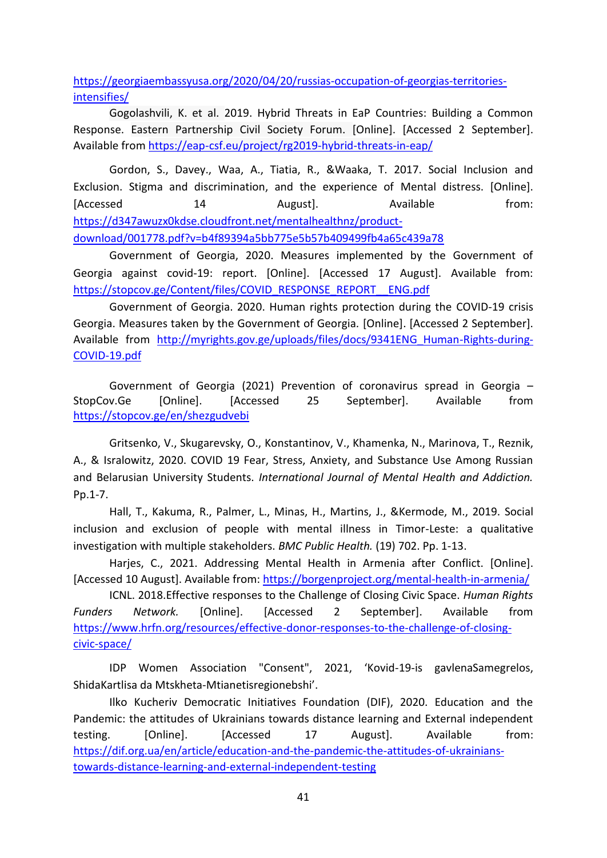[https://georgiaembassyusa.org/2020/04/20/russias-occupation-of-georgias-territories](https://georgiaembassyusa.org/2020/04/20/russias-occupation-of-georgias-territories-intensifies/)[intensifies/](https://georgiaembassyusa.org/2020/04/20/russias-occupation-of-georgias-territories-intensifies/)

Gogolashvili, K. et al. 2019. Hybrid Threats in EaP Countries: Building a Common Response. Eastern Partnership Civil Society Forum. [Online]. [Accessed 2 September]. Available from <https://eap-csf.eu/project/rg2019-hybrid-threats-in-eap/>

Gordon, S., Davey., Waa, A., Tiatia, R., &Waaka, T. 2017. Social Inclusion and Exclusion. Stigma and discrimination, and the experience of Mental distress. [Online]. [Accessed 14 August]. Available from: [https://d347awuzx0kdse.cloudfront.net/mentalhealthnz/product](https://d347awuzx0kdse.cloudfront.net/mentalhealthnz/product-download/001778.pdf?v=b4f89394a5bb775e5b57b409499fb4a65c439a78)[download/001778.pdf?v=b4f89394a5bb775e5b57b409499fb4a65c439a78](https://d347awuzx0kdse.cloudfront.net/mentalhealthnz/product-download/001778.pdf?v=b4f89394a5bb775e5b57b409499fb4a65c439a78)

Government of Georgia, 2020. Measures implemented by the Government of Georgia against covid-19: report. [Online]. [Accessed 17 August]. Available from: [https://stopcov.ge/Content/files/COVID\\_RESPONSE\\_REPORT\\_\\_ENG.pdf](https://stopcov.ge/Content/files/COVID_RESPONSE_REPORT__ENG.pdf)

Government of Georgia. 2020. Human rights protection during the COVID-19 crisis Georgia. Measures taken by the Government of Georgia*.* [Online]. [Accessed 2 September]. Available from http://myrights.gov.ge/uploads/files/docs/9341ENG Human-Rights-during-[COVID-19.pdf](http://myrights.gov.ge/uploads/files/docs/9341ENG_Human-Rights-during-COVID-19.pdf)

Government of Georgia (2021) Prevention of coronavirus spread in Georgia – StopCov.Ge [Online]. [Accessed 25 September]. Available from <https://stopcov.ge/en/shezgudvebi>

Gritsenko, V., Skugarevsky, O., Konstantinov, V., Khamenka, N., Marinova, T., Reznik, A., & Isralowitz, 2020. COVID 19 Fear, Stress, Anxiety, and Substance Use Among Russian and Belarusian University Students. *International Journal of Mental Health and Addiction.*  Pp.1-7.

Hall, T., Kakuma, R., Palmer, L., Minas, H., Martins, J., &Kermode, M., 2019. Social inclusion and exclusion of people with mental illness in Timor-Leste: a qualitative investigation with multiple stakeholders. *BMC Public Health.* (19) 702. Pp. 1-13.

Harjes, C., 2021. Addressing Mental Health in Armenia after Conflict. [Online]. [Accessed 10 August]. Available from:<https://borgenproject.org/mental-health-in-armenia/>

ICNL. 2018.Effective responses to the Challenge of Closing Civic Space. *Human Rights Funders Network.* [Online]. [Accessed 2 September]. Available from [https://www.hrfn.org/resources/effective-donor-responses-to-the-challenge-of-closing](https://www.hrfn.org/resources/effective-donor-responses-to-the-challenge-of-closing-civic-space/)[civic-space/](https://www.hrfn.org/resources/effective-donor-responses-to-the-challenge-of-closing-civic-space/)

IDP Women Association "Consent", 2021, 'Kovid-19-is gavlenaSamegrelos, ShidaKartlisa da Mtskheta-Mtianetisregionebshi'.

Ilko Kucheriv Democratic Initiatives Foundation (DIF), 2020. Education and the Pandemic: the attitudes of Ukrainians towards distance learning and External independent testing. [Online]. [Accessed 17 August]. Available from: [https://dif.org.ua/en/article/education-and-the-pandemic-the-attitudes-of-ukrainians](https://dif.org.ua/en/article/education-and-the-pandemic-the-attitudes-of-ukrainians-towards-distance-learning-and-external-independent-testing)[towards-distance-learning-and-external-independent-testing](https://dif.org.ua/en/article/education-and-the-pandemic-the-attitudes-of-ukrainians-towards-distance-learning-and-external-independent-testing)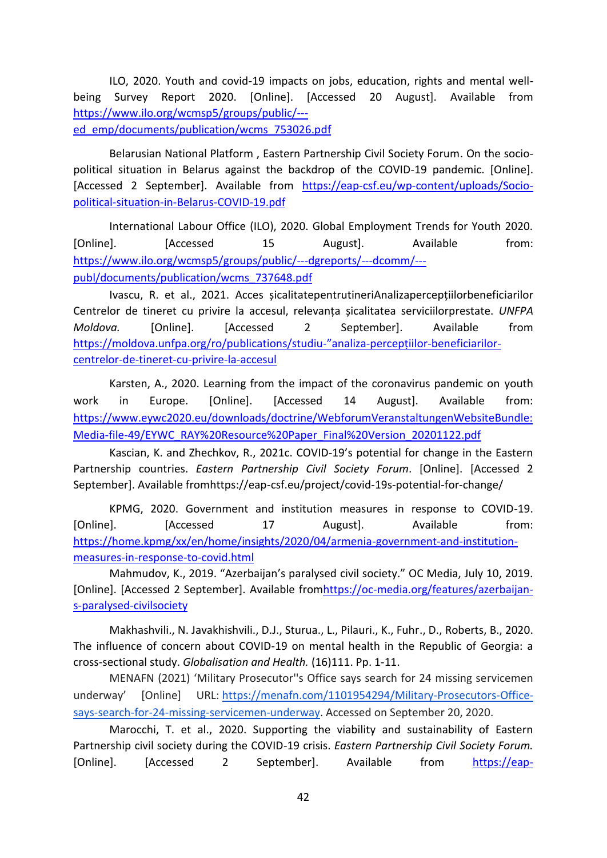ILO, 2020. Youth and covid-19 impacts on jobs, education, rights and mental wellbeing Survey Report 2020. [Online]. [Accessed 20 August]. Available from [https://www.ilo.org/wcmsp5/groups/public/--](https://www.ilo.org/wcmsp5/groups/public/---ed_emp/documents/publication/wcms_753026.pdf) [ed\\_emp/documents/publication/wcms\\_753026.pdf](https://www.ilo.org/wcmsp5/groups/public/---ed_emp/documents/publication/wcms_753026.pdf)

Belarusian National Platform , Eastern Partnership Civil Society Forum. On the sociopolitical situation in Belarus against the backdrop of the COVID-19 pandemic. [Online]. [Accessed 2 September]. Available from [https://eap-csf.eu/wp-content/uploads/Socio](https://eap-csf.eu/wp-content/uploads/Socio-political-situation-in-Belarus-COVID-19.pdf)[political-situation-in-Belarus-COVID-19.pdf](https://eap-csf.eu/wp-content/uploads/Socio-political-situation-in-Belarus-COVID-19.pdf)

International Labour Office (ILO), 2020. Global Employment Trends for Youth 2020. [Online]. [Accessed 15 August]. Available from: [https://www.ilo.org/wcmsp5/groups/public/---dgreports/---dcomm/--](https://www.ilo.org/wcmsp5/groups/public/---dgreports/---dcomm/---publ/documents/publication/wcms_737648.pdf) [publ/documents/publication/wcms\\_737648.pdf](https://www.ilo.org/wcmsp5/groups/public/---dgreports/---dcomm/---publ/documents/publication/wcms_737648.pdf)

Ivascu, R. et al., 2021. Acces șicalitatepentrutineriAnalizapercepțiilorbeneficiarilor Centrelor de tineret cu privire la accesul, relevanța șicalitatea serviciilorprestate. *UNFPA Moldova.* [Online]. [Accessed 2 September]. Available from <https://moldova.unfpa.org/ro/publications/studiu->"analiza-percepțiilor-beneficiarilor[centrelor-de-tineret-cu-privire-la-accesul](https://moldova.unfpa.org/ro/publications/studiu-)

Karsten, A., 2020. Learning from the impact of the coronavirus pandemic on youth work in Europe. [Online]. [Accessed 14 August]. Available from: [https://www.eywc2020.eu/downloads/doctrine/WebforumVeranstaltungenWebsiteBundle:](https://www.eywc2020.eu/downloads/doctrine/WebforumVeranstaltungenWebsiteBundle:Media-file-49/EYWC_RAY%20Resource%20Paper_Final%20Version_20201122.pdf) [Media-file-49/EYWC\\_RAY%20Resource%20Paper\\_Final%20Version\\_20201122.pdf](https://www.eywc2020.eu/downloads/doctrine/WebforumVeranstaltungenWebsiteBundle:Media-file-49/EYWC_RAY%20Resource%20Paper_Final%20Version_20201122.pdf)

Kascian, K. and Zhechkov, R., 2021c. COVID-19's potential for change in the Eastern Partnership countries. *Eastern Partnership Civil Society Forum*. [Online]. [Accessed 2 September]. Available fromhttps://eap-csf.eu/project/covid-19s-potential-for-change/

KPMG, 2020. Government and institution measures in response to COVID-19. [Online]. [Accessed 17 August]. Available from: [https://home.kpmg/xx/en/home/insights/2020/04/armenia-government-and-institution](https://home.kpmg/xx/en/home/insights/2020/04/armenia-government-and-institution-measures-in-response-to-covid.html)[measures-in-response-to-covid.html](https://home.kpmg/xx/en/home/insights/2020/04/armenia-government-and-institution-measures-in-response-to-covid.html)

Mahmudov, K., 2019. "Azerbaijan's paralysed civil society." OC Media, July 10, 2019*.*  [Online]. [Accessed 2 September]. Available fro[mhttps://oc-media.org/features/azerbaijan](https://oc-media.org/features/azerbaijan-s-paralysed-civilsociety)[s-paralysed-civilsociety](https://oc-media.org/features/azerbaijan-s-paralysed-civilsociety)

Makhashvili., N. Javakhishvili., D.J., Sturua., L., Pilauri., K., Fuhr., D., Roberts, B., 2020. The influence of concern about COVID-19 on mental health in the Republic of Georgia: a cross-sectional study. *Globalisation and Health.* (16)111. Pp. 1-11.

MENAFN (2021) 'Military Prosecutor''s Office says search for 24 missing servicemen underway' [Online] URL: [https://menafn.com/1101954294/Military-Prosecutors-Office](https://menafn.com/1101954294/Military-Prosecutors-Office-says-search-for-24-missing-servicemen-underway)[says-search-for-24-missing-servicemen-underway.](https://menafn.com/1101954294/Military-Prosecutors-Office-says-search-for-24-missing-servicemen-underway) Accessed on September 20, 2020.

Marocchi, T. et al., 2020. Supporting the viability and sustainability of Eastern Partnership civil society during the COVID-19 crisis. *Eastern Partnership Civil Society Forum.* [Online]. [Accessed 2 September]. Available from [https://eap-](https://eap-csf.eu/wpcontent/uploads/COVID19-Briefing-Paper-Viability-and-sustainability-of-EaP-civilsociety.pdf)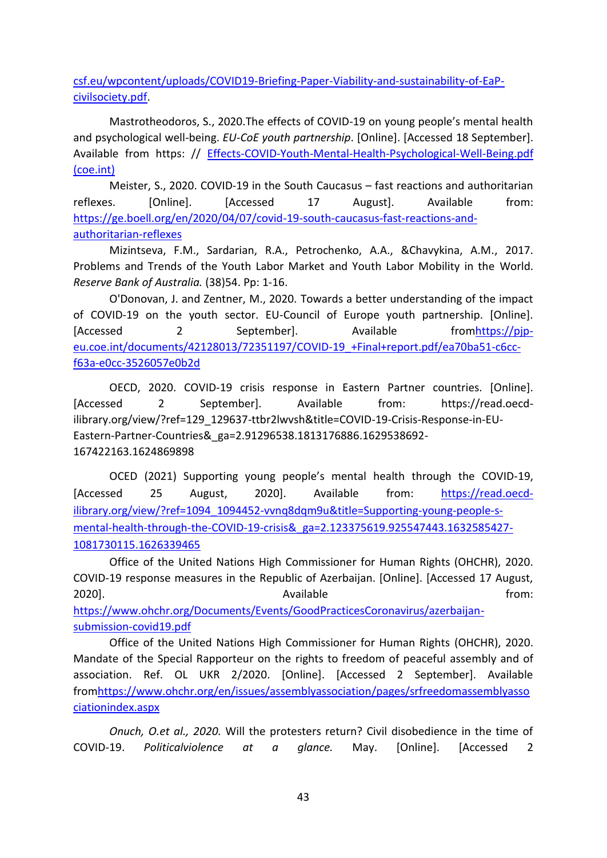[csf.eu/wpcontent/uploads/COVID19-Briefing-Paper-Viability-and-sustainability-of-EaP](https://eap-csf.eu/wpcontent/uploads/COVID19-Briefing-Paper-Viability-and-sustainability-of-EaP-civilsociety.pdf)[civilsociety.pdf.](https://eap-csf.eu/wpcontent/uploads/COVID19-Briefing-Paper-Viability-and-sustainability-of-EaP-civilsociety.pdf)

Mastrotheodoros, S., 2020.The effects of COVID-19 on young people's mental health and psychological well-being. *EU-CoE youth partnership*. [Online]. [Accessed 18 September]. Available from https: // [Effects-COVID-Youth-Mental-Health-Psychological-Well-Being.pdf](https://pjp-eu.coe.int/documents/42128013/72351197/Effects-COVID-Youth-Mental-Health-Psychological-Well-Being.pdf)  [\(coe.int\)](https://pjp-eu.coe.int/documents/42128013/72351197/Effects-COVID-Youth-Mental-Health-Psychological-Well-Being.pdf)

Meister, S., 2020. COVID-19 in the South Caucasus – fast reactions and authoritarian reflexes. [Online]. [Accessed 17 August]. Available from: [https://ge.boell.org/en/2020/04/07/covid-19-south-caucasus-fast-reactions-and](https://ge.boell.org/en/2020/04/07/covid-19-south-caucasus-fast-reactions-and-authoritarian-reflexes)[authoritarian-reflexes](https://ge.boell.org/en/2020/04/07/covid-19-south-caucasus-fast-reactions-and-authoritarian-reflexes)

Mizintseva, F.M., Sardarian, R.A., Petrochenko, A.A., &Chavykina, A.M., 2017. Problems and Trends of the Youth Labor Market and Youth Labor Mobility in the World. *Reserve Bank of Australia.* (38)54. Pp: 1-16.

O'Donovan, J. and Zentner, M., 2020. Towards a better understanding of the impact of COVID-19 on the youth sector. EU-Council of Europe youth partnership. [Online]. [Accessed 2 September]. Available from https://pip[eu.coe.int/documents/42128013/72351197/COVID-19\\_+Final+report.pdf/ea70ba51-c6cc](https://pjp-eu.coe.int/documents/42128013/72351197/Covid-19_+Final+report.pdf/ea70ba51-c6cc-f63a-e0cc-3526057e0b2d)[f63a-e0cc-3526057e0b2d](https://pjp-eu.coe.int/documents/42128013/72351197/Covid-19_+Final+report.pdf/ea70ba51-c6cc-f63a-e0cc-3526057e0b2d)

OECD, 2020. COVID-19 crisis response in Eastern Partner countries. [Online]. [Accessed 2 September]. Available from: [https://read.oecd](https://read.oecd-ilibrary.org/view/?ref=129_129637-ttbr2lwvsh&title=COVID-19-Crisis-Response-in-EU-Eastern-Partner-Countries&_ga=2.91296538.1813176886.1629538692-167422163.1624869898)[ilibrary.org/view/?ref=129\\_129637-ttbr2lwvsh&title=COVID-19-Crisis-Response-in-EU-](https://read.oecd-ilibrary.org/view/?ref=129_129637-ttbr2lwvsh&title=COVID-19-Crisis-Response-in-EU-Eastern-Partner-Countries&_ga=2.91296538.1813176886.1629538692-167422163.1624869898)[Eastern-Partner-Countries&\\_ga=2.91296538.1813176886.1629538692-](https://read.oecd-ilibrary.org/view/?ref=129_129637-ttbr2lwvsh&title=COVID-19-Crisis-Response-in-EU-Eastern-Partner-Countries&_ga=2.91296538.1813176886.1629538692-167422163.1624869898) [167422163.1624869898](https://read.oecd-ilibrary.org/view/?ref=129_129637-ttbr2lwvsh&title=COVID-19-Crisis-Response-in-EU-Eastern-Partner-Countries&_ga=2.91296538.1813176886.1629538692-167422163.1624869898)

OCED (2021) Supporting young people's mental health through the COVID-19, [Accessed 25 August, 2020]. Available from: [https://read.oecd](https://read.oecd-ilibrary.org/view/?ref=1094_1094452-vvnq8dqm9u&title=Supporting-young-people-s-mental-health-through-the-COVID-19-crisis&_ga=2.123375619.925547443.1632585427-1081730115.1626339465)[ilibrary.org/view/?ref=1094\\_1094452-vvnq8dqm9u&title=Supporting-young-people-s](https://read.oecd-ilibrary.org/view/?ref=1094_1094452-vvnq8dqm9u&title=Supporting-young-people-s-mental-health-through-the-COVID-19-crisis&_ga=2.123375619.925547443.1632585427-1081730115.1626339465)[mental-health-through-the-COVID-19-crisis&\\_ga=2.123375619.925547443.1632585427-](https://read.oecd-ilibrary.org/view/?ref=1094_1094452-vvnq8dqm9u&title=Supporting-young-people-s-mental-health-through-the-COVID-19-crisis&_ga=2.123375619.925547443.1632585427-1081730115.1626339465) [1081730115.1626339465](https://read.oecd-ilibrary.org/view/?ref=1094_1094452-vvnq8dqm9u&title=Supporting-young-people-s-mental-health-through-the-COVID-19-crisis&_ga=2.123375619.925547443.1632585427-1081730115.1626339465)

Office of the United Nations High Commissioner for Human Rights (OHCHR), 2020. COVID-19 response measures in the Republic of Azerbaijan. [Online]. [Accessed 17 August, 2020]. The contraction of the contraction of the contraction of the contraction of the contraction of the contraction of the contraction of the contraction of the contraction of the contraction of the contraction of the co [https://www.ohchr.org/Documents/Events/GoodPracticesCoronavirus/azerbaijan](https://www.ohchr.org/Documents/Events/GoodPracticesCoronavirus/azerbaijan-submission-covid19.pdf)[submission-covid19.pdf](https://www.ohchr.org/Documents/Events/GoodPracticesCoronavirus/azerbaijan-submission-covid19.pdf)

Office of the United Nations High Commissioner for Human Rights (OHCHR), 2020. Mandate of the Special Rapporteur on the rights to freedom of peaceful assembly and of association. Ref. OL UKR 2/2020. [Online]. [Accessed 2 September]. Available fro[mhttps://www.ohchr.org/en/issues/assemblyassociation/pages/srfreedomassemblyasso](https://www.ohchr.org/en/issues/assemblyassociation/pages/srfreedomassemblyassociationindex.aspx) [ciationindex.aspx](https://www.ohchr.org/en/issues/assemblyassociation/pages/srfreedomassemblyassociationindex.aspx)

*Onuch, O.et al., 2020.* Will the protesters return? Civil disobedience in the time of COVID-19. *Politicalviolence at a glance.* May. [Online]. [Accessed 2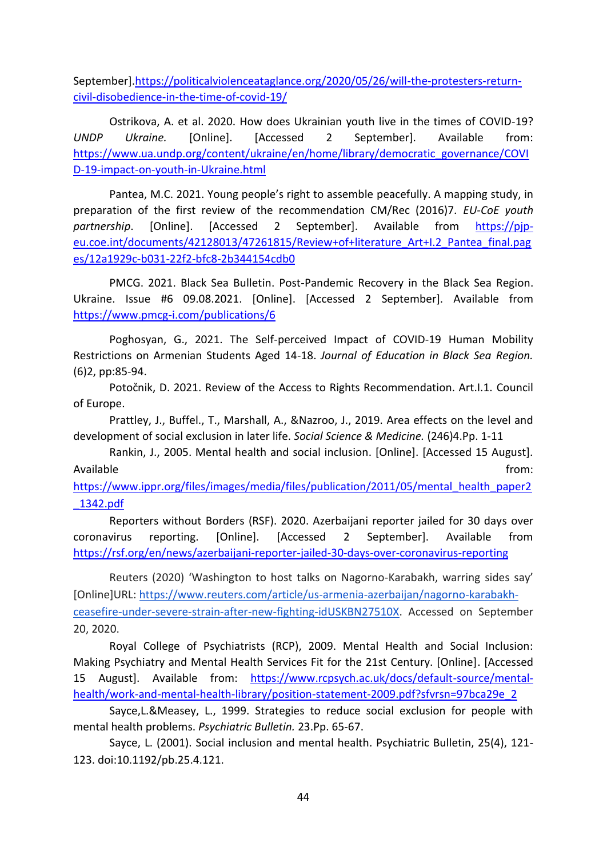September][.https://politicalviolenceataglance.org/2020/05/26/will-the-protesters-return](https://politicalviolenceataglance.org/2020/05/26/will-the-protesters-return-civil-disobedience-in-the-time-of-covid-19/)[civil-disobedience-in-the-time-of-covid-19/](https://politicalviolenceataglance.org/2020/05/26/will-the-protesters-return-civil-disobedience-in-the-time-of-covid-19/)

Ostrikova, A. et al. 2020. How does Ukrainian youth live in the times of COVID-19? *UNDP Ukraine.* [Online]. [Accessed 2 September]. Available from: [https://www.ua.undp.org/content/ukraine/en/home/library/democratic\\_governance/COVI](https://www.ua.undp.org/content/ukraine/en/home/library/democratic_governance/COVID-19-impact-on-youth-in-Ukraine.html) [D-19-impact-on-youth-in-Ukraine.html](https://www.ua.undp.org/content/ukraine/en/home/library/democratic_governance/COVID-19-impact-on-youth-in-Ukraine.html)

Pantea, M.C. 2021. Young people's right to assemble peacefully. A mapping study, in preparation of the first review of the recommendation CM/Rec (2016)7. *EU-CoE youth partnership*. [Online]. [Accessed 2 September]. Available from [https://pjp](https://pjp-eu.coe.int/documents/42128013/47261815/Review+of+literature_Art+I.2_Pantea_final.pages/12a1929c-b031-22f2-bfc8-2b344154cdb0)[eu.coe.int/documents/42128013/47261815/Review+of+literature\\_Art+I.2\\_Pantea\\_final.pag](https://pjp-eu.coe.int/documents/42128013/47261815/Review+of+literature_Art+I.2_Pantea_final.pages/12a1929c-b031-22f2-bfc8-2b344154cdb0) [es/12a1929c-b031-22f2-bfc8-2b344154cdb0](https://pjp-eu.coe.int/documents/42128013/47261815/Review+of+literature_Art+I.2_Pantea_final.pages/12a1929c-b031-22f2-bfc8-2b344154cdb0)

PMCG. 2021. Black Sea Bulletin. Post-Pandemic Recovery in the Black Sea Region. Ukraine. Issue #6 09.08.2021. [Online]. [Accessed 2 September]. Available from <https://www.pmcg-i.com/publications/6>

Poghosyan, G., 2021. The Self-perceived Impact of COVID-19 Human Mobility Restrictions on Armenian Students Aged 14-18. *Journal of Education in Black Sea Region.*  (6)2, pp:85-94.

Potočnik, D. 2021. Review of the Access to Rights Recommendation. Art.I.1. Council of Europe.

Prattley, J., Buffel., T., Marshall, A., &Nazroo, J., 2019. Area effects on the level and development of social exclusion in later life. *Social Science & Medicine.* (246)4.Pp. 1-11

Rankin, J., 2005. Mental health and social inclusion. [Online]. [Accessed 15 August]. Available from: the state of the state of the state of the state of the state of the state of the state of the state of the state of the state of the state of the state of the state of the state of the state of the state o

[https://www.ippr.org/files/images/media/files/publication/2011/05/mental\\_health\\_paper2](https://www.ippr.org/files/images/media/files/publication/2011/05/mental_health_paper2_1342.pdf) [\\_1342.pdf](https://www.ippr.org/files/images/media/files/publication/2011/05/mental_health_paper2_1342.pdf)

Reporters without Borders (RSF). 2020. Azerbaijani reporter jailed for 30 days over coronavirus reporting. [Online]. [Accessed 2 September]. Available from <https://rsf.org/en/news/azerbaijani-reporter-jailed-30-days-over-coronavirus-reporting>

Reuters (2020) 'Washington to host talks on Nagorno-Karabakh, warring sides say' [Online]URL: [https://www.reuters.com/article/us-armenia-azerbaijan/nagorno-karabakh](https://www.reuters.com/article/us-armenia-azerbaijan/nagorno-karabakh-ceasefire-under-severe-strain-after-new-fighting-idUSKBN27510X)[ceasefire-under-severe-strain-after-new-fighting-idUSKBN27510X.](https://www.reuters.com/article/us-armenia-azerbaijan/nagorno-karabakh-ceasefire-under-severe-strain-after-new-fighting-idUSKBN27510X) Accessed on September 20, 2020.

Royal College of Psychiatrists (RCP), 2009. Mental Health and Social Inclusion: Making Psychiatry and Mental Health Services Fit for the 21st Century. [Online]. [Accessed 15 August]. Available from: [https://www.rcpsych.ac.uk/docs/default-source/mental](https://www.rcpsych.ac.uk/docs/default-source/mental-health/work-and-mental-health-library/position-statement-2009.pdf?sfvrsn=97bca29e_2)[health/work-and-mental-health-library/position-statement-2009.pdf?sfvrsn=97bca29e\\_2](https://www.rcpsych.ac.uk/docs/default-source/mental-health/work-and-mental-health-library/position-statement-2009.pdf?sfvrsn=97bca29e_2)

Sayce,L.&Measey, L., 1999. Strategies to reduce social exclusion for people with mental health problems. *Psychiatric Bulletin.* 23.Pp. 65-67.

Sayce, L. (2001). Social inclusion and mental health. Psychiatric Bulletin, 25(4), 121- 123. doi:10.1192/pb.25.4.121.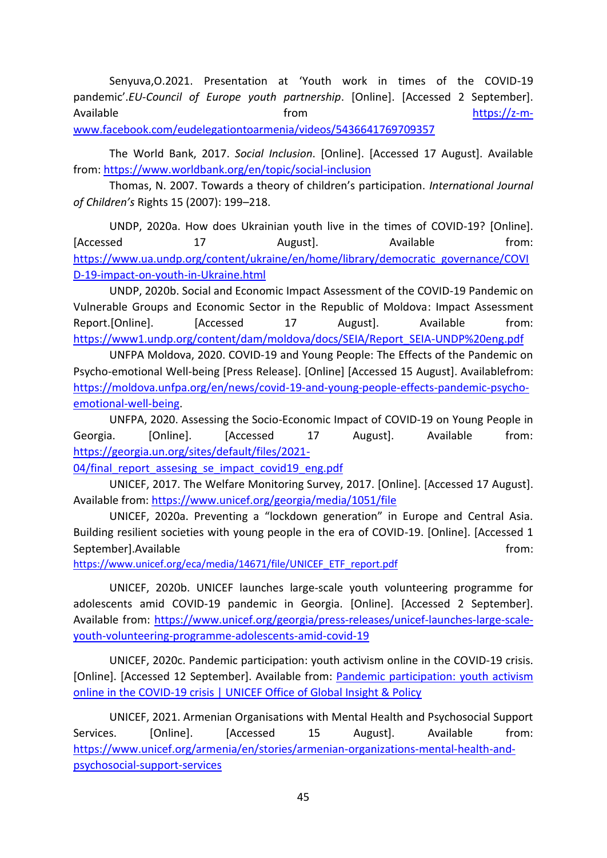Senyuva,O.2021. Presentation at 'Youth work in times of the COVID-19 pandemic'.*EU-Council of Europe youth partnership*. [Online]. [Accessed 2 September]. Available **Available [https://z-m](https://z-m-www.facebook.com/eudelegationtoarmenia/videos/5436641769709357)**[www.facebook.com/eudelegationtoarmenia/videos/5436641769709357](https://z-m-www.facebook.com/eudelegationtoarmenia/videos/5436641769709357)

The World Bank, 2017. *Social Inclusion*. [Online]. [Accessed 17 August]. Available from[: https://www.worldbank.org/en/topic/social-inclusion](https://www.worldbank.org/en/topic/social-inclusion)

Thomas, N. 2007. Towards a theory of children's participation. *International Journal of Children's* Rights 15 (2007): 199–218.

UNDP, 2020a. How does Ukrainian youth live in the times of COVID-19? [Online]. [Accessed 17 August]. Available from: [https://www.ua.undp.org/content/ukraine/en/home/library/democratic\\_governance/COVI](https://www.ua.undp.org/content/ukraine/en/home/library/democratic_governance/COVID-19-impact-on-youth-in-Ukraine.html) [D-19-impact-on-youth-in-Ukraine.html](https://www.ua.undp.org/content/ukraine/en/home/library/democratic_governance/COVID-19-impact-on-youth-in-Ukraine.html)

UNDP, 2020b. Social and Economic Impact Assessment of the COVID-19 Pandemic on Vulnerable Groups and Economic Sector in the Republic of Moldova: Impact Assessment Report.[Online]. [Accessed 17 August]. Available from: [https://www1.undp.org/content/dam/moldova/docs/SEIA/Report\\_SEIA-UNDP%20eng.pdf](https://www1.undp.org/content/dam/moldova/docs/SEIA/Report_SEIA-UNDP%20eng.pdf)

UNFPA Moldova, 2020. COVID-19 and Young People: The Effects of the Pandemic on Psycho-emotional Well-being [Press Release]. [Online] [Accessed 15 August]. Availablefrom: [https://moldova.unfpa.org/en/news/covid-19-and-young-people-effects-pandemic-psycho](https://moldova.unfpa.org/en/news/covid-19-and-young-people-effects-pandemic-psycho-emotional-well-being)[emotional-well-being.](https://moldova.unfpa.org/en/news/covid-19-and-young-people-effects-pandemic-psycho-emotional-well-being)

UNFPA, 2020. Assessing the Socio-Economic Impact of COVID-19 on Young People in Georgia. [Online]. [Accessed 17 August]. Available from: [https://georgia.un.org/sites/default/files/2021-](https://georgia.un.org/sites/default/files/2021-04/final_report_assesing_se_impact_covid19_eng.pdf)

[04/final\\_report\\_assesing\\_se\\_impact\\_covid19\\_eng.pdf](https://georgia.un.org/sites/default/files/2021-04/final_report_assesing_se_impact_covid19_eng.pdf)

UNICEF, 2017. The Welfare Monitoring Survey, 2017. [Online]. [Accessed 17 August]. Available from:<https://www.unicef.org/georgia/media/1051/file>

UNICEF, 2020a. Preventing a "lockdown generation" in Europe and Central Asia. Building resilient societies with young people in the era of COVID-19. [Online]. [Accessed 1 September].Available from: the separation of the separation of the separation of the separation of the separation of the separation of the separation of the separation of the separation of the separation of the separation

[https://www.unicef.org/eca/media/14671/file/UNICEF\\_ETF\\_report.pdf](https://www.unicef.org/eca/media/14671/file/UNICEF_ETF_report.pdf)

UNICEF, 2020b. UNICEF launches large-scale youth volunteering programme for adolescents amid COVID-19 pandemic in Georgia. [Online]. [Accessed 2 September]. Available from: [https://www.unicef.org/georgia/press-releases/unicef-launches-large-scale](https://www.unicef.org/georgia/press-releases/unicef-launches-large-scale-youth-volunteering-programme-adolescents-amid-covid-19)[youth-volunteering-programme-adolescents-amid-covid-19](https://www.unicef.org/georgia/press-releases/unicef-launches-large-scale-youth-volunteering-programme-adolescents-amid-covid-19)

UNICEF, 2020c. Pandemic participation: youth activism online in the COVID-19 crisis. [Online]. [Accessed 12 September]. Available from: [Pandemic participation: youth activism](https://www.unicef.org/globalinsight/stories/pandemic-participation-youth-activism-online-covid-19-crisis)  [online in the COVID-19 crisis | UNICEF Office of Global Insight & Policy](https://www.unicef.org/globalinsight/stories/pandemic-participation-youth-activism-online-covid-19-crisis)

UNICEF, 2021. Armenian Organisations with Mental Health and Psychosocial Support Services. [Online]. [Accessed 15 August]. Available from: [https://www.unicef.org/armenia/en/stories/armenian-organizations-mental-health-and](https://www.unicef.org/armenia/en/stories/armenian-organizations-mental-health-and-psychosocial-support-services)[psychosocial-support-services](https://www.unicef.org/armenia/en/stories/armenian-organizations-mental-health-and-psychosocial-support-services)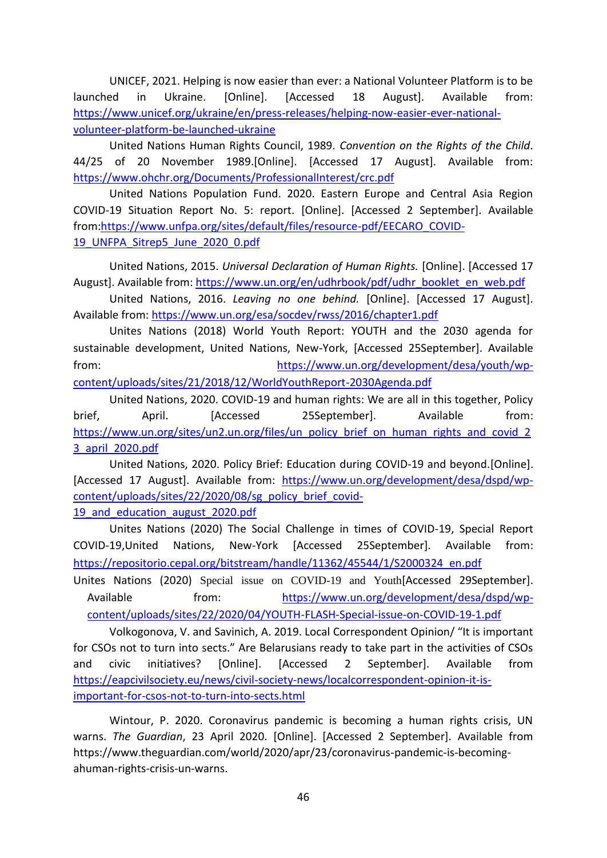UNICEF, 2021. Helping is now easier than ever: a National Volunteer Platform is to be launched in Ukraine. [Online]. [Accessed 18 August]. Available from: [https://www.unicef.org/ukraine/en/press-releases/helping-now-easier-ever-national](https://www.unicef.org/ukraine/en/press-releases/helping-now-easier-ever-national-volunteer-platform-be-launched-ukraine)[volunteer-platform-be-launched-ukraine](https://www.unicef.org/ukraine/en/press-releases/helping-now-easier-ever-national-volunteer-platform-be-launched-ukraine)

United Nations Human Rights Council, 1989. *Convention on the Rights of the Child*. 44/25 of 20 November 1989.[Online]. [Accessed 17 August]. Available from: <https://www.ohchr.org/Documents/ProfessionalInterest/crc.pdf>

United Nations Population Fund. 2020. Eastern Europe and Central Asia Region COVID-19 Situation Report No. 5: report. [Online]. [Accessed 2 September]. Available from[:https://www.unfpa.org/sites/default/files/resource-pdf/EECARO\\_COVID-](https://www.unfpa.org/sites/default/files/resource-pdf/EECARO_COVID-19_UNFPA_Sitrep5_June_2020_0.pdf)[19\\_UNFPA\\_Sitrep5\\_June\\_2020\\_0.pdf](https://www.unfpa.org/sites/default/files/resource-pdf/EECARO_COVID-19_UNFPA_Sitrep5_June_2020_0.pdf)

United Nations, 2015. *Universal Declaration of Human Rights.* [Online]. [Accessed 17 August]. Available from: [https://www.un.org/en/udhrbook/pdf/udhr\\_booklet\\_en\\_web.pdf](https://www.un.org/en/udhrbook/pdf/udhr_booklet_en_web.pdf)

United Nations, 2016. *Leaving no one behind.* [Online]. [Accessed 17 August]. Available from:<https://www.un.org/esa/socdev/rwss/2016/chapter1.pdf>

Unites Nations (2018) World Youth Report: YOUTH and the 2030 agenda for sustainable development, United Nations, New-York, [Accessed 25September]. Available from: [https://www.un.org/development/desa/youth/wp](https://www.un.org/development/desa/youth/wp-content/uploads/sites/21/2018/12/WorldYouthReport-2030Agenda.pdf)[content/uploads/sites/21/2018/12/WorldYouthReport-2030Agenda.pdf](https://www.un.org/development/desa/youth/wp-content/uploads/sites/21/2018/12/WorldYouthReport-2030Agenda.pdf)

United Nations, 2020. COVID-19 and human rights: We are all in this together, Policy brief, April. [Accessed 25September]. Available from: [https://www.un.org/sites/un2.un.org/files/un\\_policy\\_brief\\_on\\_human\\_rights\\_and\\_covid\\_2](https://www.un.org/sites/un2.un.org/files/un_policy_brief_on_human_rights_and_covid_23_april_2020.pdf) [3\\_april\\_2020.pdf](https://www.un.org/sites/un2.un.org/files/un_policy_brief_on_human_rights_and_covid_23_april_2020.pdf)

United Nations, 2020. Policy Brief: Education during COVID-19 and beyond.[Online]. [Accessed 17 August]. Available from: [https://www.un.org/development/desa/dspd/wp](https://www.un.org/development/desa/dspd/wp-content/uploads/sites/22/2020/08/sg_policy_brief_covid-19_and_education_august_2020.pdf)[content/uploads/sites/22/2020/08/sg\\_policy\\_brief\\_covid-](https://www.un.org/development/desa/dspd/wp-content/uploads/sites/22/2020/08/sg_policy_brief_covid-19_and_education_august_2020.pdf)19 and education august 2020.pdf

Unites Nations (2020) The Social Challenge in times of COVID-19, Special Report COVID-19,United Nations, New-York [Accessed 25September]. Available from: [https://repositorio.cepal.org/bitstream/handle/11362/45544/1/S2000324\\_en.pdf](https://repositorio.cepal.org/bitstream/handle/11362/45544/1/S2000324_en.pdf)

Unites Nations (2020) Special issue on COVID-19 and Youth[Accessed 29September]. Available from: [https://www.un.org/development/desa/dspd/wp](https://www.un.org/development/desa/dspd/wp-content/uploads/sites/22/2020/04/YOUTH-FLASH-Special-issue-on-COVID-19-1.pdf)[content/uploads/sites/22/2020/04/YOUTH-FLASH-Special-issue-on-COVID-19-1.pdf](https://www.un.org/development/desa/dspd/wp-content/uploads/sites/22/2020/04/YOUTH-FLASH-Special-issue-on-COVID-19-1.pdf)

Volkogonova, V. and Savinich, A. 2019. Local Correspondent Opinion/ "It is important for CSOs not to turn into sects." Are Belarusians ready to take part in the activities of CSOs and civic initiatives? [Online]. [Accessed 2 September]. Available from [https://eapcivilsociety.eu/news/civil-society-news/localcorrespondent-opinion-it-is](https://eapcivilsociety.eu/news/civil-society-news/localcorrespondent-opinion-it-is-important-for-csos-not-to-turn-into-sects.html)[important-for-csos-not-to-turn-into-sects.html](https://eapcivilsociety.eu/news/civil-society-news/localcorrespondent-opinion-it-is-important-for-csos-not-to-turn-into-sects.html)

Wintour, P. 2020. Coronavirus pandemic is becoming a human rights crisis, UN warns. *The Guardian*, 23 April 2020. [Online]. [Accessed 2 September]. Available from https://www.theguardian.com/world/2020/apr/23/coronavirus-pandemic-is-becomingahuman-rights-crisis-un-warns.